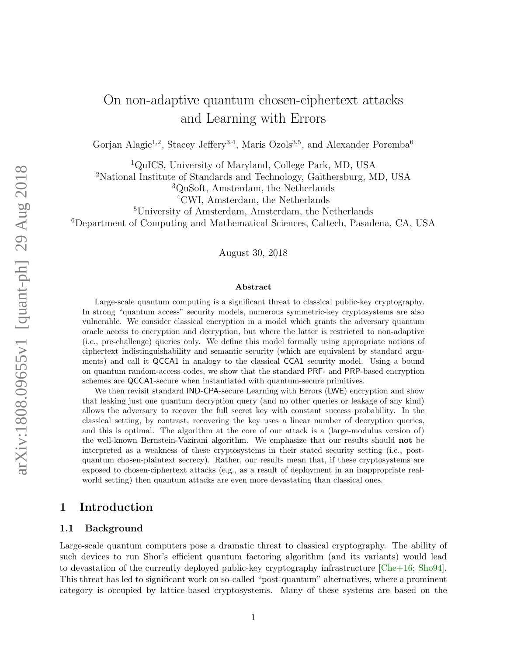# On non-adaptive quantum chosen-ciphertext attacks and Learning with Errors

Gorjan Alagic<sup>1,2</sup>, Stacey Jeffery<sup>3,4</sup>, Maris Ozols<sup>3,5</sup>, and Alexander Poremba<sup>6</sup>

<sup>1</sup>QuICS, University of Maryland, College Park, MD, USA

<sup>2</sup>National Institute of Standards and Technology, Gaithersburg, MD, USA

<sup>3</sup>QuSoft, Amsterdam, the Netherlands

<sup>5</sup>University of Amsterdam, Amsterdam, the Netherlands

<sup>6</sup>Department of Computing and Mathematical Sciences, Caltech, Pasadena, CA, USA

August 30, 2018

#### Abstract

Large-scale quantum computing is a significant threat to classical public-key cryptography. In strong "quantum access" security models, numerous symmetric-key cryptosystems are also vulnerable. We consider classical encryption in a model which grants the adversary quantum oracle access to encryption and decryption, but where the latter is restricted to non-adaptive (i.e., pre-challenge) queries only. We define this model formally using appropriate notions of ciphertext indistinguishability and semantic security (which are equivalent by standard arguments) and call it QCCA1 in analogy to the classical CCA1 security model. Using a bound on quantum random-access codes, we show that the standard PRF- and PRP-based encryption schemes are QCCA1-secure when instantiated with quantum-secure primitives.

We then revisit standard IND-CPA-secure Learning with Errors (LWE) encryption and show that leaking just one quantum decryption query (and no other queries or leakage of any kind) allows the adversary to recover the full secret key with constant success probability. In the classical setting, by contrast, recovering the key uses a linear number of decryption queries, and this is optimal. The algorithm at the core of our attack is a (large-modulus version of) the well-known Bernstein-Vazirani algorithm. We emphasize that our results should not be interpreted as a weakness of these cryptosystems in their stated security setting (i.e., postquantum chosen-plaintext secrecy). Rather, our results mean that, if these cryptosystems are exposed to chosen-ciphertext attacks (e.g., as a result of deployment in an inappropriate realworld setting) then quantum attacks are even more devastating than classical ones.

# 1 Introduction

### 1.1 Background

Large-scale quantum computers pose a dramatic threat to classical cryptography. The ability of such devices to run Shor's efficient quantum factoring algorithm (and its variants) would lead to devastation of the currently deployed public-key cryptography infrastructure [\[Che+16;](#page-25-0) [Sho94\]](#page-26-0). This threat has led to significant work on so-called "post-quantum" alternatives, where a prominent category is occupied by lattice-based cryptosystems. Many of these systems are based on the

<sup>4</sup>CWI, Amsterdam, the Netherlands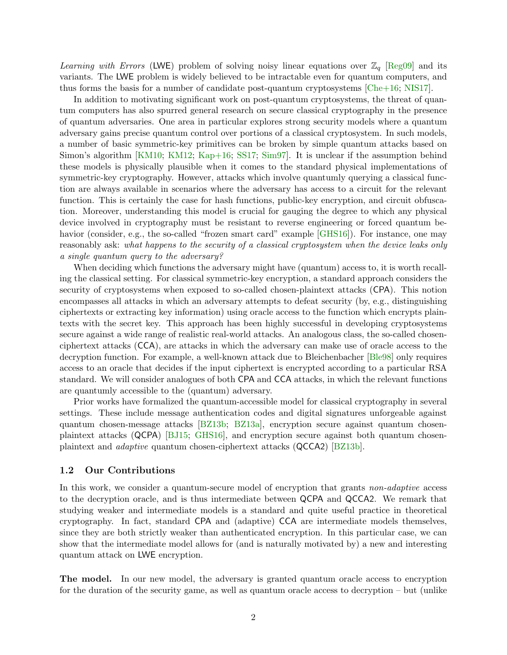Learning with Errors (LWE) problem of solving noisy linear equations over  $\mathbb{Z}_q$  [\[Reg09\]](#page-26-1) and its variants. The LWE problem is widely believed to be intractable even for quantum computers, and thus forms the basis for a number of candidate post-quantum cryptosystems  $[Che+16; NIS17]$  $[Che+16; NIS17]$  $[Che+16; NIS17]$ .

In addition to motivating significant work on post-quantum cryptosystems, the threat of quantum computers has also spurred general research on secure classical cryptography in the presence of quantum adversaries. One area in particular explores strong security models where a quantum adversary gains precise quantum control over portions of a classical cryptosystem. In such models, a number of basic symmetric-key primitives can be broken by simple quantum attacks based on Simon's algorithm [\[KM10;](#page-25-1) [KM12;](#page-25-2) [Kap+16;](#page-25-3) [SS17;](#page-26-3) [Sim97\]](#page-26-4). It is unclear if the assumption behind these models is physically plausible when it comes to the standard physical implementations of symmetric-key cryptography. However, attacks which involve quantumly querying a classical function are always available in scenarios where the adversary has access to a circuit for the relevant function. This is certainly the case for hash functions, public-key encryption, and circuit obfuscation. Moreover, understanding this model is crucial for gauging the degree to which any physical device involved in cryptography must be resistant to reverse engineering or forced quantum be-havior (consider, e.g., the so-called "frozen smart card" example [\[GHS16\]](#page-25-4)). For instance, one may reasonably ask: what happens to the security of a classical cryptosystem when the device leaks only a single quantum query to the adversary?

When deciding which functions the adversary might have (quantum) access to, it is worth recalling the classical setting. For classical symmetric-key encryption, a standard approach considers the security of cryptosystems when exposed to so-called chosen-plaintext attacks (CPA). This notion encompasses all attacks in which an adversary attempts to defeat security (by, e.g., distinguishing ciphertexts or extracting key information) using oracle access to the function which encrypts plaintexts with the secret key. This approach has been highly successful in developing cryptosystems secure against a wide range of realistic real-world attacks. An analogous class, the so-called chosenciphertext attacks (CCA), are attacks in which the adversary can make use of oracle access to the decryption function. For example, a well-known attack due to Bleichenbacher [\[Ble98\]](#page-24-0) only requires access to an oracle that decides if the input ciphertext is encrypted according to a particular RSA standard. We will consider analogues of both CPA and CCA attacks, in which the relevant functions are quantumly accessible to the (quantum) adversary.

Prior works have formalized the quantum-accessible model for classical cryptography in several settings. These include message authentication codes and digital signatures unforgeable against quantum chosen-message attacks [\[BZ13b;](#page-25-5) [BZ13a\]](#page-25-6), encryption secure against quantum chosenplaintext attacks (QCPA) [\[BJ15;](#page-24-1) [GHS16\]](#page-25-4), and encryption secure against both quantum chosenplaintext and adaptive quantum chosen-ciphertext attacks (QCCA2) [\[BZ13b\]](#page-25-5).

#### 1.2 Our Contributions

In this work, we consider a quantum-secure model of encryption that grants non-adaptive access to the decryption oracle, and is thus intermediate between QCPA and QCCA2. We remark that studying weaker and intermediate models is a standard and quite useful practice in theoretical cryptography. In fact, standard CPA and (adaptive) CCA are intermediate models themselves, since they are both strictly weaker than authenticated encryption. In this particular case, we can show that the intermediate model allows for (and is naturally motivated by) a new and interesting quantum attack on LWE encryption.

The model. In our new model, the adversary is granted quantum oracle access to encryption for the duration of the security game, as well as quantum oracle access to decryption – but (unlike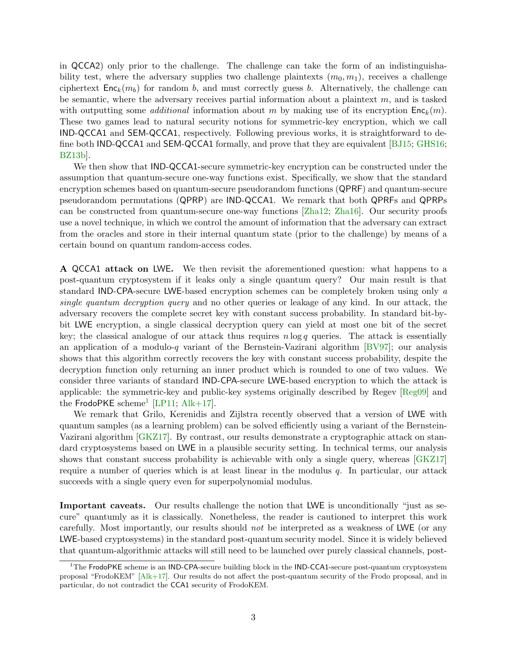in QCCA2) only prior to the challenge. The challenge can take the form of an indistinguishability test, where the adversary supplies two challenge plaintexts  $(m_0, m_1)$ , receives a challenge ciphertext  $Enc_k(m_b)$  for random b, and must correctly guess b. Alternatively, the challenge can be semantic, where the adversary receives partial information about a plaintext  $m$ , and is tasked with outputting some *additional* information about m by making use of its encryption  $Enc_k(m)$ . These two games lead to natural security notions for symmetric-key encryption, which we call IND-QCCA1 and SEM-QCCA1, respectively. Following previous works, it is straightforward to define both IND-QCCA1 and SEM-QCCA1 formally, and prove that they are equivalent [\[BJ15;](#page-24-1) [GHS16;](#page-25-4) [BZ13b\]](#page-25-5).

We then show that IND-QCCA1-secure symmetric-key encryption can be constructed under the assumption that quantum-secure one-way functions exist. Specifically, we show that the standard encryption schemes based on quantum-secure pseudorandom functions (QPRF) and quantum-secure pseudorandom permutations (QPRP) are IND-QCCA1. We remark that both QPRFs and QPRPs can be constructed from quantum-secure one-way functions [\[Zha12;](#page-26-5) [Zha16\]](#page-26-6). Our security proofs use a novel technique, in which we control the amount of information that the adversary can extract from the oracles and store in their internal quantum state (prior to the challenge) by means of a certain bound on quantum random-access codes.

A QCCA1 attack on LWE. We then revisit the aforementioned question: what happens to a post-quantum cryptosystem if it leaks only a single quantum query? Our main result is that standard IND-CPA-secure LWE-based encryption schemes can be completely broken using only a single quantum decryption query and no other queries or leakage of any kind. In our attack, the adversary recovers the complete secret key with constant success probability. In standard bit-bybit LWE encryption, a single classical decryption query can yield at most one bit of the secret key; the classical analogue of our attack thus requires  $n \log q$  queries. The attack is essentially an application of a modulo-q variant of the Bernstein-Vazirani algorithm  $\vert BV97\vert$ ; our analysis shows that this algorithm correctly recovers the key with constant success probability, despite the decryption function only returning an inner product which is rounded to one of two values. We consider three variants of standard IND-CPA-secure LWE-based encryption to which the attack is applicable: the symmetric-key and public-key systems originally described by Regev [\[Reg09\]](#page-26-1) and the  $FrodoPKE$  scheme<sup>[1](#page-2-0)</sup> [\[LP11;](#page-25-7) [Alk+17\]](#page-24-3).

We remark that Grilo, Kerenidis and Zijlstra recently observed that a version of LWE with quantum samples (as a learning problem) can be solved efficiently using a variant of the Bernstein-Vazirani algorithm [\[GKZ17\]](#page-25-8). By contrast, our results demonstrate a cryptographic attack on standard cryptosystems based on LWE in a plausible security setting. In technical terms, our analysis shows that constant success probability is achievable with only a single query, whereas [\[GKZ17\]](#page-25-8) require a number of queries which is at least linear in the modulus  $q$ . In particular, our attack succeeds with a single query even for superpolynomial modulus.

Important caveats. Our results challenge the notion that LWE is unconditionally "just as secure" quantumly as it is classically. Nonetheless, the reader is cautioned to interpret this work carefully. Most importantly, our results should not be interpreted as a weakness of LWE (or any LWE-based cryptosystems) in the standard post-quantum security model. Since it is widely believed that quantum-algorithmic attacks will still need to be launched over purely classical channels, post-

<span id="page-2-0"></span> $1$ The FrodoPKE scheme is an IND-CPA-secure building block in the IND-CCA1-secure post-quantum cryptosystem proposal "FrodoKEM" [\[Alk+17\]](#page-24-3). Our results do not affect the post-quantum security of the Frodo proposal, and in particular, do not contradict the CCA1 security of FrodoKEM.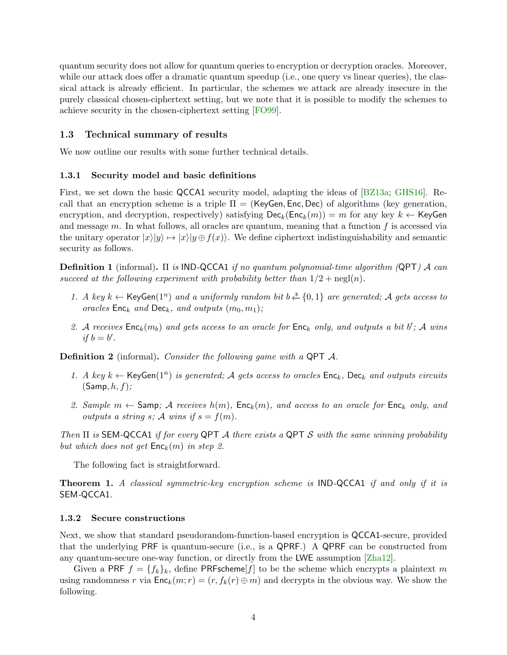quantum security does not allow for quantum queries to encryption or decryption oracles. Moreover, while our attack does offer a dramatic quantum speedup (i.e., one query vs linear queries), the classical attack is already efficient. In particular, the schemes we attack are already insecure in the purely classical chosen-ciphertext setting, but we note that it is possible to modify the schemes to achieve security in the chosen-ciphertext setting [\[FO99\]](#page-25-9).

#### 1.3 Technical summary of results

We now outline our results with some further technical details.

#### 1.3.1 Security model and basic definitions

First, we set down the basic QCCA1 security model, adapting the ideas of [\[BZ13a;](#page-25-6) [GHS16\]](#page-25-4). Recall that an encryption scheme is a triple  $\Pi = (KeyGen, Enc, Dec)$  of algorithms (key generation, encryption, and decryption, respectively) satisfying  $\textsf{Dec}_k(\textsf{Enc}_k(m)) = m$  for any key  $k \leftarrow \textsf{KeyGen}$ and message  $m$ . In what follows, all oracles are quantum, meaning that a function  $f$  is accessed via the unitary operator  $|x\rangle|y\rangle \mapsto |x\rangle|y \oplus f(x)$ . We define ciphertext indistinguishability and semantic security as follows.

**Definition 1** (informal). Π is IND-QCCA1 if no quantum polynomial-time algorithm (QPT) A can succeed at the following experiment with probability better than  $1/2 + \text{negl}(n)$ .

- 1. A key  $k \leftarrow$  KeyGen(1<sup>n</sup>) and a uniformly random bit  $b \stackrel{\$}{\leftarrow} \{0,1\}$  are generated; A gets access to oracles  $Enc_k$  and  $Dec_k$ , and outputs  $(m_0, m_1)$ ;
- 2. A receives  $Enc_k(m_b)$  and gets access to an oracle for  $Enc_k$  only, and outputs a bit  $b'$ ; A wins if  $b = b'$ .

Definition 2 (informal). Consider the following game with a QPT A.

- 1. A key  $k \leftarrow \text{KeyGen}(1^n)$  is generated; A gets access to oracles  $\text{Enc}_k$ ,  $\text{Dec}_k$  and outputs circuits  $(Samp, h, f);$
- 2. Sample  $m \leftarrow$  Samp; A receives  $h(m)$ , Enc<sub>k</sub> $(m)$ , and access to an oracle for Enc<sub>k</sub> only, and outputs a string s; A wins if  $s = f(m)$ .

Then  $\Pi$  is SEM-QCCA1 if for every QPT A there exists a QPT S with the same winning probability but which does not get  $\mathsf{Enc}_k(m)$  in step 2.

The following fact is straightforward.

Theorem 1. A classical symmetric-key encryption scheme is IND-QCCA1 if and only if it is SEM-QCCA1.

#### 1.3.2 Secure constructions

Next, we show that standard pseudorandom-function-based encryption is QCCA1-secure, provided that the underlying PRF is quantum-secure (i.e., is a QPRF.) A QPRF can be constructed from any quantum-secure one-way function, or directly from the LWE assumption [\[Zha12\]](#page-26-5).

Given a PRF  $f = \{f_k\}_k$ , define PRFscheme $[f]$  to be the scheme which encrypts a plaintext m using randomness r via  $Enc_k(m; r) = (r, f_k(r) \oplus m)$  and decrypts in the obvious way. We show the following.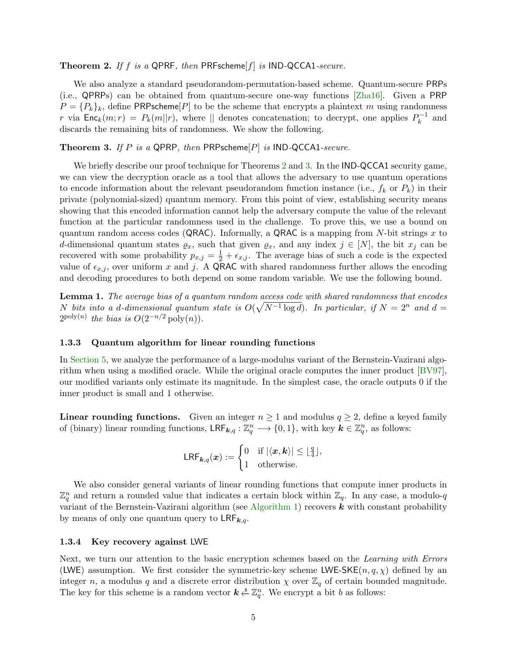#### <span id="page-4-0"></span>**Theorem 2.** If f is a QPRF, then PRFscheme[f] is IND-QCCA1-secure.

We also analyze a standard pseudorandom-permutation-based scheme. Quantum-secure PRPs (i.e., QPRPs) can be obtained from quantum-secure one-way functions [\[Zha16\]](#page-26-6). Given a PRP  $P = \{P_k\}_k$ , define PRPscheme $[P]$  to be the scheme that encrypts a plaintext m using randomness r via  $Enc_k(m; r) = P_k(m||r)$ , where || denotes concatenation; to decrypt, one applies  $P_k^{-1}$  $k^{n-1}$  and discards the remaining bits of randomness. We show the following.

#### <span id="page-4-1"></span>**Theorem 3.** If P is a QPRP, then PRPscheme $[P]$  is IND-QCCA1-secure.

We briefly describe our proof technique for Theorems [2](#page-4-0) and [3.](#page-4-1) In the **IND-QCCA1** security game, we can view the decryption oracle as a tool that allows the adversary to use quantum operations to encode information about the relevant pseudorandom function instance (i.e.,  $f_k$  or  $P_k$ ) in their private (polynomial-sized) quantum memory. From this point of view, establishing security means showing that this encoded information cannot help the adversary compute the value of the relevant function at the particular randomness used in the challenge. To prove this, we use a bound on quantum random access codes (QRAC). Informally, a QRAC is a mapping from N-bit strings x to d-dimensional quantum states  $\varrho_x$ , such that given  $\varrho_x$ , and any index  $j \in [N]$ , the bit  $x_j$  can be recovered with some probability  $p_{x,j} = \frac{1}{2} + \epsilon_{x,j}$ . The average bias of such a code is the expected value of  $\epsilon_{x,j}$ , over uniform x and j. A QRAC with shared randomness further allows the encoding and decoding procedures to both depend on some random variable. We use the following bound.

<span id="page-4-2"></span>Lemma 1. The average bias of a quantum random access code with shared randomness that encodes N bits into a d-dimensional quantum state is  $O(\sqrt{N^{-1} \log d})$ . In particular, if  $N = 2^n$  and  $d =$  $2^{\text{poly}(n)}$  the bias is  $O(2^{-n/2} \text{poly}(n)).$ 

#### 1.3.3 Quantum algorithm for linear rounding functions

In [Section](#page-15-0) [5,](#page-15-0) we analyze the performance of a large-modulus variant of the Bernstein-Vazirani algorithm when using a modified oracle. While the original oracle computes the inner product [\[BV97\]](#page-24-2), our modified variants only estimate its magnitude. In the simplest case, the oracle outputs 0 if the inner product is small and 1 otherwise.

**Linear rounding functions.** Given an integer  $n \geq 1$  and modulus  $q \geq 2$ , define a keyed family of (binary) linear rounding functions,  $\mathsf{LRF}_{k,q} : \mathbb{Z}_q^n \longrightarrow \{0,1\}$ , with key  $k \in \mathbb{Z}_q^n$ , as follows:

$$
\mathsf{LRF}_{\bm{k},q}(\bm{x}) := \begin{cases} 0 & \text{if } |\langle \bm{x}, \bm{k} \rangle| \leq \lfloor \frac{q}{4} \rfloor, \\ 1 & \text{otherwise.} \end{cases}
$$

We also consider general variants of linear rounding functions that compute inner products in  $\mathbb{Z}_q^n$  and return a rounded value that indicates a certain block within  $\mathbb{Z}_q$ . In any case, a modulo-q variant of the Bernstein-Vazirani algorithm (see [Algorithm](#page-17-0) [1\)](#page-17-0) recovers  $k$  with constant probability by means of only one quantum query to  $LRF_{k,q}$ .

#### 1.3.4 Key recovery against LWE

Next, we turn our attention to the basic encryption schemes based on the Learning with Errors (LWE) assumption. We first consider the symmetric-key scheme LWE-SKE $(n, q, \chi)$  defined by an integer n, a modulus q and a discrete error distribution  $\chi$  over  $\mathbb{Z}_q$  of certain bounded magnitude. The key for this scheme is a random vector  $k \stackrel{s}{\leftarrow} \mathbb{Z}_q^n$ . We encrypt a bit b as follows: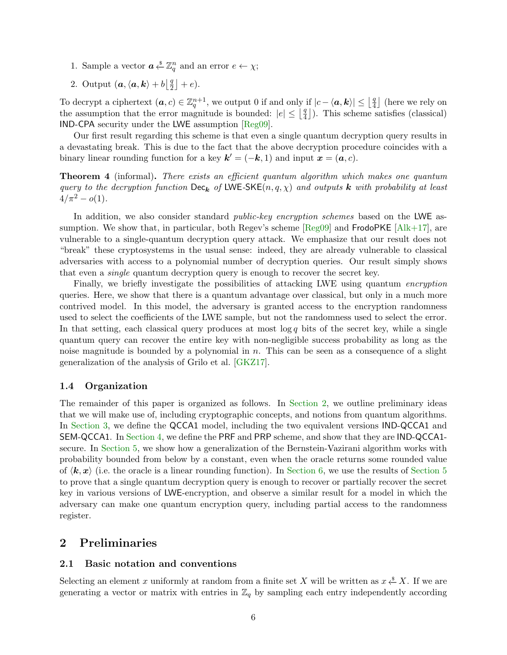- 1. Sample a vector  $\boldsymbol{a} \overset{\$}{\leftarrow} \mathbb{Z}_q^n$  and an error  $e \leftarrow \chi$ ;
- 2. Output  $(a, \langle a, k \rangle + b \vert \frac{q}{2})$  $\frac{q}{2}$  | + e).

To decrypt a ciphertext  $(a, c) \in \mathbb{Z}_q^{n+1}$ , we output 0 if and only if  $|c - \langle a, k \rangle| \leq \lfloor \frac{q}{4} \rfloor$  $\frac{q}{4}$ ] (here we rely on the assumption that the error magnitude is bounded:  $|e| \leq \frac{q}{4}$  $\left(\frac{q}{4}\right)$ ). This scheme satisfies (classical) IND-CPA security under the LWE assumption [\[Reg09\]](#page-26-1).

Our first result regarding this scheme is that even a single quantum decryption query results in a devastating break. This is due to the fact that the above decryption procedure coincides with a binary linear rounding function for a key  $\mathbf{k}' = (-\mathbf{k}, 1)$  and input  $\mathbf{x} = (\mathbf{a}, c)$ .

**Theorem 4** (informal). There exists an efficient quantum algorithm which makes one quantum query to the decryption function  $\text{Dec}_{\mathbf{k}}$  of LWE-SKE $(n, q, \chi)$  and outputs k with probability at least  $4/\pi^2 - o(1)$ .

In addition, we also consider standard *public-key encryption schemes* based on the LWE assumption. We show that, in particular, both Regev's scheme  $[Reg09]$  and  $Frod$ o $K \in \{Alk+17\}$ , are vulnerable to a single-quantum decryption query attack. We emphasize that our result does not "break" these cryptosystems in the usual sense: indeed, they are already vulnerable to classical adversaries with access to a polynomial number of decryption queries. Our result simply shows that even a single quantum decryption query is enough to recover the secret key.

Finally, we briefly investigate the possibilities of attacking LWE using quantum encryption queries. Here, we show that there is a quantum advantage over classical, but only in a much more contrived model. In this model, the adversary is granted access to the encryption randomness used to select the coefficients of the LWE sample, but not the randomness used to select the error. In that setting, each classical query produces at most  $\log q$  bits of the secret key, while a single quantum query can recover the entire key with non-negligible success probability as long as the noise magnitude is bounded by a polynomial in  $n$ . This can be seen as a consequence of a slight generalization of the analysis of Grilo et al. [\[GKZ17\]](#page-25-8).

### 1.4 Organization

The remainder of this paper is organized as follows. In [Section](#page-5-0) [2,](#page-5-0) we outline preliminary ideas that we will make use of, including cryptographic concepts, and notions from quantum algorithms. In [Section](#page-7-0) [3,](#page-7-0) we define the QCCA1 model, including the two equivalent versions IND-QCCA1 and SEM-QCCA1. In [Section](#page-9-0) [4,](#page-9-0) we define the PRF and PRP scheme, and show that they are IND-QCCA1 secure. In [Section](#page-15-0) [5,](#page-15-0) we show how a generalization of the Bernstein-Vazirani algorithm works with probability bounded from below by a constant, even when the oracle returns some rounded value of  $\langle k, x \rangle$  (i.e. the oracle is a linear rounding function). In [Section](#page-15-0) [6,](#page-20-0) we use the results of Section [5](#page-15-0) to prove that a single quantum decryption query is enough to recover or partially recover the secret key in various versions of LWE-encryption, and observe a similar result for a model in which the adversary can make one quantum encryption query, including partial access to the randomness register.

# <span id="page-5-0"></span>2 Preliminaries

#### 2.1 Basic notation and conventions

Selecting an element x uniformly at random from a finite set X will be written as  $x \stackrel{\$}{\leftarrow} X$ . If we are generating a vector or matrix with entries in  $\mathbb{Z}_q$  by sampling each entry independently according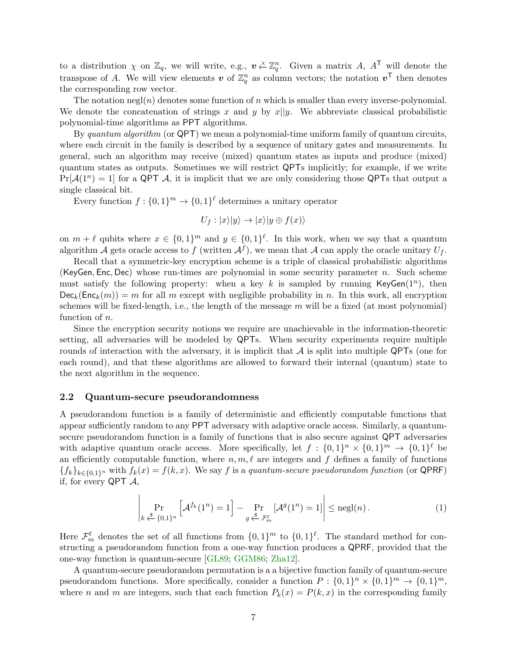to a distribution  $\chi$  on  $\mathbb{Z}_q$ , we will write, e.g.,  $v \stackrel{\chi}{\leftarrow} \mathbb{Z}_q^n$ . Given a matrix A,  $A^{\mathsf{T}}$  will denote the transpose of A. We will view elements  $v$  of  $\mathbb{Z}_q^n$  as column vectors; the notation  $v^{\top}$  then denotes the corresponding row vector.

The notation negl(n) denotes some function of n which is smaller than every inverse-polynomial. We denote the concatenation of strings x and y by  $x||y$ . We abbreviate classical probabilistic polynomial-time algorithms as PPT algorithms.

By quantum algorithm (or  $QPT$ ) we mean a polynomial-time uniform family of quantum circuits. where each circuit in the family is described by a sequence of unitary gates and measurements. In general, such an algorithm may receive (mixed) quantum states as inputs and produce (mixed) quantum states as outputs. Sometimes we will restrict QPTs implicitly; for example, if we write  $Pr[\mathcal{A}(1^n) = 1]$  for a QPT A, it is implicit that we are only considering those QPTs that output a single classical bit.

Every function  $f: \{0,1\}^m \to \{0,1\}^{\ell}$  determines a unitary operator

$$
U_f: |x\rangle|y\rangle \rightarrow |x\rangle|y \oplus f(x)\rangle
$$

on  $m + \ell$  qubits where  $x \in \{0,1\}^m$  and  $y \in \{0,1\}^{\ell}$ . In this work, when we say that a quantum algorithm A gets oracle access to f (written  $\mathcal{A}^f$ ), we mean that A can apply the oracle unitary  $U_f$ .

Recall that a symmetric-key encryption scheme is a triple of classical probabilistic algorithms (KeyGen, Enc, Dec) whose run-times are polynomial in some security parameter n. Such scheme must satisfy the following property: when a key k is sampled by running KeyGen( $1^n$ ), then  $Dec_k(Enc_k(m)) = m$  for all m except with negligible probability in n. In this work, all encryption schemes will be fixed-length, i.e., the length of the message  $m$  will be a fixed (at most polynomial) function of n.

Since the encryption security notions we require are unachievable in the information-theoretic setting, all adversaries will be modeled by QPTs. When security experiments require multiple rounds of interaction with the adversary, it is implicit that  $\mathcal A$  is split into multiple QPTs (one for each round), and that these algorithms are allowed to forward their internal (quantum) state to the next algorithm in the sequence.

#### 2.2 Quantum-secure pseudorandomness

A pseudorandom function is a family of deterministic and efficiently computable functions that appear sufficiently random to any PPT adversary with adaptive oracle access. Similarly, a quantumsecure pseudorandom function is a family of functions that is also secure against QPT adversaries with adaptive quantum oracle access. More specifically, let  $f: \{0,1\}^n \times \{0,1\}^m \to \{0,1\}^{\ell}$  be an efficiently computable function, where  $n, m, \ell$  are integers and f defines a family of functions  ${f_k}_{k\in{0,1}^n}$  with  $f_k(x) = f(k, x)$ . We say f is a quantum-secure pseudorandom function (or QPRF) if, for every QPT  $\mathcal{A}$ ,

$$
\left| \Pr_{k \stackrel{\$}{\leftarrow} \{0,1\}^n} \left[ \mathcal{A}^{f_k}(1^n) = 1 \right] - \Pr_{g \stackrel{\$}{\leftarrow} \mathcal{F}_m^{\ell}} \left[ \mathcal{A}^g(1^n) = 1 \right] \right| \leq \text{negl}(n). \tag{1}
$$

Here  $\mathcal{F}_m^{\ell}$  denotes the set of all functions from  $\{0,1\}^m$  to  $\{0,1\}^{\ell}$ . The standard method for constructing a pseudorandom function from a one-way function produces a QPRF, provided that the one-way function is quantum-secure [\[GL89;](#page-25-10) [GGM86;](#page-25-11) [Zha12\]](#page-26-5).

A quantum-secure pseudorandom permutation is a a bijective function family of quantum-secure pseudorandom functions. More specifically, consider a function  $P: \{0,1\}^n \times \{0,1\}^m \rightarrow \{0,1\}^m$ , where n and m are integers, such that each function  $P_k(x) = P(k, x)$  in the corresponding family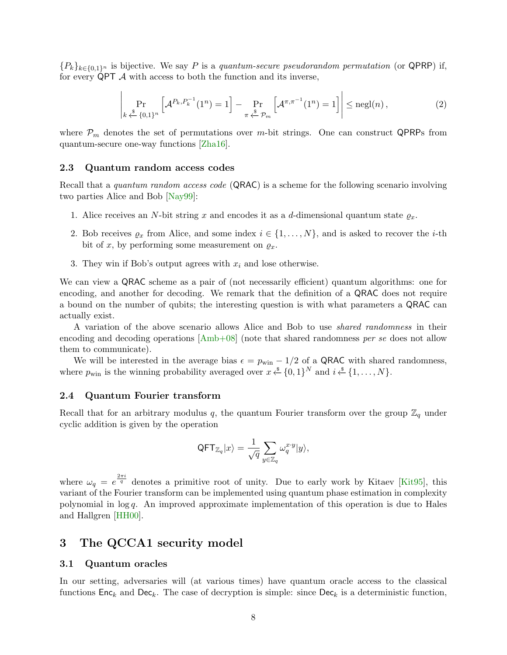${P_k}_{k\in\{0,1\}^n}$  is bijective. We say P is a quantum-secure pseudorandom permutation (or QPRP) if, for every  $QPT$   $A$  with access to both the function and its inverse,

$$
\left| \Pr_{k \stackrel{\$}{\leftarrow} \{0,1\}^n} \left[ \mathcal{A}^{P_k, P_k^{-1}}(1^n) = 1 \right] - \Pr_{\pi \stackrel{\$}{\leftarrow} \mathcal{P}_m} \left[ \mathcal{A}^{\pi, \pi^{-1}}(1^n) = 1 \right] \right| \leq \text{negl}(n), \tag{2}
$$

 $\overline{1}$ 

where  $P_m$  denotes the set of permutations over m-bit strings. One can construct QPRPs from quantum-secure one-way functions [\[Zha16\]](#page-26-6).

#### 2.3 Quantum random access codes

Recall that a quantum random access code (QRAC) is a scheme for the following scenario involving two parties Alice and Bob [\[Nay99\]](#page-26-7):

- 1. Alice receives an N-bit string x and encodes it as a d-dimensional quantum state  $\varrho_x$ .
- 2. Bob receives  $\varrho_x$  from Alice, and some index  $i \in \{1, \ldots, N\}$ , and is asked to recover the *i*-th bit of x, by performing some measurement on  $\varrho_x$ .
- 3. They win if Bob's output agrees with  $x_i$  and lose otherwise.

We can view a QRAC scheme as a pair of (not necessarily efficient) quantum algorithms: one for encoding, and another for decoding. We remark that the definition of a QRAC does not require a bound on the number of qubits; the interesting question is with what parameters a QRAC can actually exist.

A variation of the above scenario allows Alice and Bob to use shared randomness in their encoding and decoding operations  $[Amb+08]$  (note that shared randomness per se does not allow them to communicate).

We will be interested in the average bias  $\epsilon = p_{\text{win}} - 1/2$  of a QRAC with shared randomness, where  $p_{\text{win}}$  is the winning probability averaged over  $x \stackrel{\$}{\leftarrow} \{0,1\}^N$  and  $i \stackrel{\$}{\leftarrow} \{1,\ldots,N\}$ .

#### 2.4 Quantum Fourier transform

Recall that for an arbitrary modulus q, the quantum Fourier transform over the group  $\mathbb{Z}_q$  under cyclic addition is given by the operation

$$
\mathsf{QFT}_{\mathbb{Z}_q}|x\rangle = \frac{1}{\sqrt{q}}\sum_{y\in\mathbb{Z}_q}\omega_q^{x\cdot y}|y\rangle,
$$

where  $\omega_q = e^{\frac{2\pi i}{q}}$  denotes a primitive root of unity. Due to early work by Kitaev [\[Kit95\]](#page-25-12), this variant of the Fourier transform can be implemented using quantum phase estimation in complexity polynomial in  $log q$ . An improved approximate implementation of this operation is due to Hales and Hallgren [\[HH00\]](#page-25-13).

### <span id="page-7-0"></span>3 The QCCA1 security model

#### 3.1 Quantum oracles

In our setting, adversaries will (at various times) have quantum oracle access to the classical functions  $Enc_k$  and  $Dec_k$ . The case of decryption is simple: since  $Dec_k$  is a deterministic function,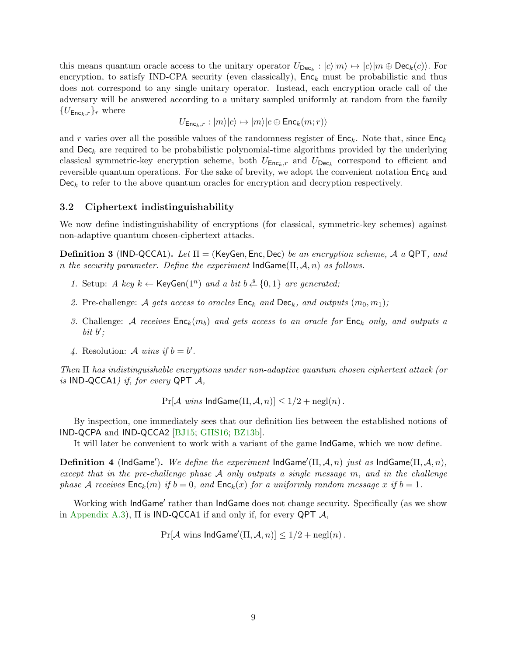this means quantum oracle access to the unitary operator  $U_{\text{Dec}_k}:|c\rangle|m\rangle \mapsto |c\rangle|m \oplus \text{Dec}_k(c)\rangle$ . For encryption, to satisfy IND-CPA security (even classically),  $Enc_k$  must be probabilistic and thus does not correspond to any single unitary operator. Instead, each encryption oracle call of the adversary will be answered according to a unitary sampled uniformly at random from the family  ${U_{\mathsf{Enc}_k,r}}_r$  where

$$
U_{\mathsf{Enc}_k,r}:|m\rangle|c\rangle\mapsto |m\rangle|c\oplus\mathsf{Enc}_k(m;r)\rangle
$$

and r varies over all the possible values of the randomness register of  $Enc_k$ . Note that, since  $Enc_k$ and  $\textsf{Dec}_k$  are required to be probabilistic polynomial-time algorithms provided by the underlying classical symmetric-key encryption scheme, both  $U_{\text{Enc}_k,r}$  and  $U_{\text{Dec}_k}$  correspond to efficient and reversible quantum operations. For the sake of brevity, we adopt the convenient notation  $Enc_k$  and  $Dec_k$  to refer to the above quantum oracles for encryption and decryption respectively.

#### 3.2 Ciphertext indistinguishability

We now define indistinguishability of encryptions (for classical, symmetric-key schemes) against non-adaptive quantum chosen-ciphertext attacks.

<span id="page-8-1"></span>**Definition 3** (IND-QCCA1). Let  $\Pi$  = (KeyGen, Enc, Dec) be an encryption scheme, A a QPT, and n the security parameter. Define the experiment  $IndGame(\Pi, \mathcal{A}, n)$  as follows.

- 1. Setup: A key  $k \leftarrow \text{KeyGen}(1^n)$  and a bit  $b \stackrel{s}{\leftarrow} \{0,1\}$  are generated;
- 2. Pre-challenge: A gets access to oracles  $Enc_k$  and  $Dec_k$ , and outputs  $(m_0, m_1)$ ;
- 3. Challenge: A receives  $Enc_k(m_b)$  and gets access to an oracle for  $Enc_k$  only, and outputs a bit  $b'$ ;
- 4. Resolution: A wins if  $b = b'$ .

Then Π has indistinguishable encryptions under non-adaptive quantum chosen ciphertext attack (or is IND-QCCA1) if, for every QPT  $\mathcal{A}$ ,

 $Pr[\mathcal{A} \text{ wins } IndGame(\Pi, \mathcal{A}, n)] \leq 1/2 + negl(n)$ .

By inspection, one immediately sees that our definition lies between the established notions of IND-QCPA and IND-QCCA2 [\[BJ15;](#page-24-1) [GHS16;](#page-25-4) [BZ13b\]](#page-25-5).

It will later be convenient to work with a variant of the game IndGame, which we now define.

<span id="page-8-0"></span>**Definition 4** (IndGame'). We define the experiment IndGame'( $\Pi$ , A, n) just as IndGame( $\Pi$ , A, n), except that in the pre-challenge phase  $A$  only outputs a single message  $m$ , and in the challenge phase A receives  $Enc_k(m)$  if  $b = 0$ , and  $Enc_k(x)$  for a uniformly random message x if  $b = 1$ .

Working with IndGame' rather than IndGame does not change security. Specifically (as we show in [Appendix](#page-28-0) [A.3\)](#page-28-0),  $\Pi$  is **IND-QCCA1** if and only if, for every **QPT**  $\mathcal{A}$ ,

 $Pr[\mathcal{A} \text{ wins } \mathsf{IndGame}'(\Pi, \mathcal{A}, n)] \leq 1/2 + \text{negl}(n)$ .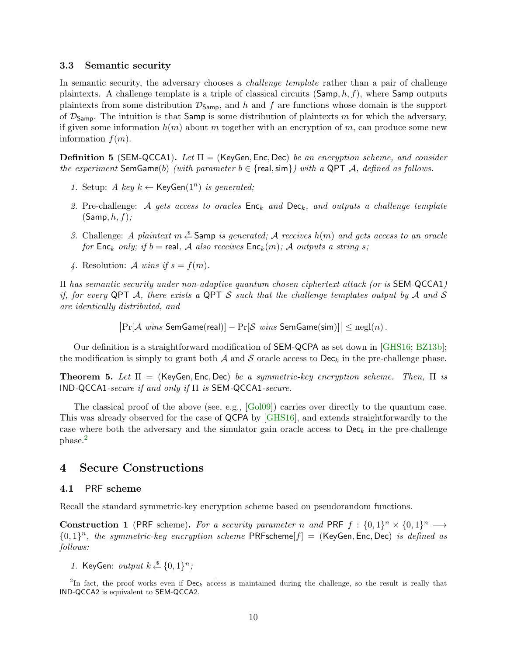#### 3.3 Semantic security

In semantic security, the adversary chooses a *challenge template* rather than a pair of challenge plaintexts. A challenge template is a triple of classical circuits  $(\textsf{Samp}, h, f)$ , where  $\textsf{Samp}$  outputs plaintexts from some distribution  $\mathcal{D}_{Samp}$ , and h and f are functions whose domain is the support of  $\mathcal{D}_{Samp}$ . The intuition is that Samp is some distribution of plaintexts m for which the adversary, if given some information  $h(m)$  about m together with an encryption of m, can produce some new information  $f(m)$ .

**Definition 5** (SEM-QCCA1). Let  $\Pi =$  (KeyGen, Enc, Dec) be an encryption scheme, and consider the experiment SemGame(b) (with parameter  $b \in \{real, \text{sim}\}\}\$  with a QPT A, defined as follows.

- 1. Setup: A key  $k \leftarrow \text{KeyGen}(1^n)$  is generated;
- 2. Pre-challenge: A gets access to oracles  $Enc_k$  and  $Dec_k$ , and outputs a challenge template  $(Samp, h, f);$
- 3. Challenge: A plaintext  $m \stackrel{\$}{\leftarrow}$  Samp is generated; A receives  $h(m)$  and gets access to an oracle for Enc<sub>k</sub> only; if  $b = \text{real}$ , A also receives Enc<sub>k</sub>(m); A outputs a string s;
- 4. Resolution: A wins if  $s = f(m)$ .

Π has semantic security under non-adaptive quantum chosen ciphertext attack (or is SEM-QCCA1) if, for every QPT  $\mathcal A$ , there exists a QPT  $\mathcal S$  such that the challenge templates output by  $\mathcal A$  and  $\mathcal S$ are identically distributed, and

 $\big|\Pr[\mathcal{A}] \text{ wins}$  SemGame(real)]  $-\Pr[\mathcal{S}] \text{ wins}$  SemGame(sim)] $\big|\leq \mathrm{negl}(n)$ .

Our definition is a straightforward modification of SEM-QCPA as set down in [\[GHS16;](#page-25-4) [BZ13b\]](#page-25-5); the modification is simply to grant both  $A$  and  $S$  oracle access to Dec<sub>k</sub> in the pre-challenge phase.

**Theorem 5.** Let  $\Pi$  = (KeyGen, Enc, Dec) be a symmetric-key encryption scheme. Then,  $\Pi$  is  $IND-QCCA1\text{-}secure\ if\ and\ only\ if\ \Pi\ is\ SEM-QCCA1\text{-}secure.$ 

The classical proof of the above (see, e.g., [\[Gol09\]](#page-25-14)) carries over directly to the quantum case. This was already observed for the case of QCPA by [\[GHS16\]](#page-25-4), and extends straightforwardly to the case where both the adversary and the simulator gain oracle access to  $\mathsf{Dec}_k$  in the pre-challenge phase.[2](#page-9-1)

# <span id="page-9-0"></span>4 Secure Constructions

#### 4.1 PRF scheme

Recall the standard symmetric-key encryption scheme based on pseudorandom functions.

**Construction 1** (PRF scheme). For a security parameter n and PRF  $f: \{0,1\}^n \times \{0,1\}^n \longrightarrow$  ${0,1}^n$ , the symmetric-key encryption scheme PRFscheme[f] = (KeyGen, Enc, Dec) is defined as follows:

1. KeyGen: output  $k \stackrel{\$}{\leftarrow} \{0,1\}^n$ ;

<span id="page-9-1"></span><sup>&</sup>lt;sup>2</sup>In fact, the proof works even if  $\mathsf{Dec}_k$  access is maintained during the challenge, so the result is really that IND-QCCA2 is equivalent to SEM-QCCA2.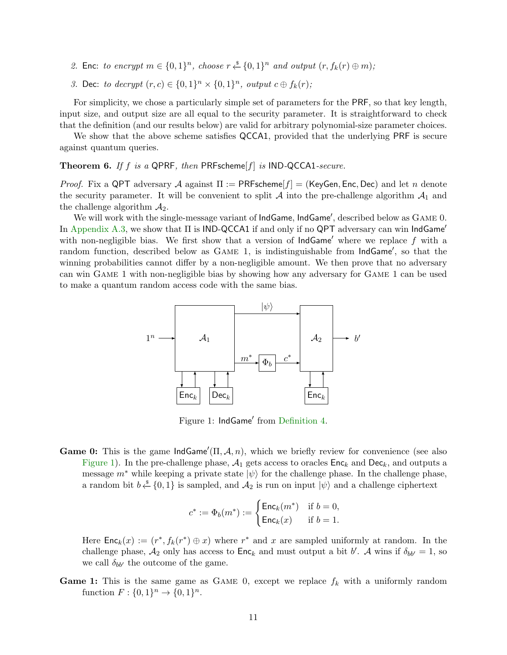- 2. Enc: to encrypt  $m \in \{0,1\}^n$ , choose  $r \stackrel{\$}{\leftarrow} \{0,1\}^n$  and output  $(r, f_k(r) \oplus m)$ ;
- 3. Dec: to decrypt  $(r, c) \in \{0, 1\}^n \times \{0, 1\}^n$ , output  $c \oplus f_k(r)$ ;

For simplicity, we chose a particularly simple set of parameters for the PRF, so that key length, input size, and output size are all equal to the security parameter. It is straightforward to check that the definition (and our results below) are valid for arbitrary polynomial-size parameter choices.

We show that the above scheme satisfies QCCA1, provided that the underlying PRF is secure against quantum queries.

**Theorem 6.** If f is a QPRF, then PRFscheme[f] is IND-QCCA1-secure.

*Proof.* Fix a QPT adversary A against  $\Pi := \mathsf{PRFscheme}[f] = (\mathsf{KeyGen}, \mathsf{Enc}, \mathsf{Dec})$  and let n denote the security parameter. It will be convenient to split A into the pre-challenge algorithm  $A_1$  and the challenge algorithm  $A_2$ .

We will work with the single-message variant of IndGame, IndGame', described below as GAME 0. In [Appendix](#page-28-0) [A.3,](#page-28-0) we show that  $\Pi$  is IND-QCCA1 if and only if no QPT adversary can win IndGame' with non-negligible bias. We first show that a version of  $IndGame'$  where we replace f with a random function, described below as GAME 1, is indistinguishable from IndGame', so that the winning probabilities cannot differ by a non-negligible amount. We then prove that no adversary can win Game 1 with non-negligible bias by showing how any adversary for Game 1 can be used to make a quantum random access code with the same bias.



<span id="page-10-0"></span>Figure 1: IndGame' from [Definition](#page-8-0) [4.](#page-8-0)

**Game 0:** This is the game  $IndGame'(II, \mathcal{A}, n)$ , which we briefly review for convenience (see also [Figure](#page-10-0) [1\)](#page-10-0). In the pre-challenge phase,  $A_1$  gets access to oracles  $Enc_k$  and  $Dec_k$ , and outputs a message  $m^*$  while keeping a private state  $|\psi\rangle$  for the challenge phase. In the challenge phase, a random bit  $b \stackrel{\$}{\leftarrow} \{0,1\}$  is sampled, and  $\mathcal{A}_2$  is run on input  $|\psi\rangle$  and a challenge ciphertext

$$
c^* := \Phi_b(m^*) := \begin{cases} \mathsf{Enc}_k(m^*) & \text{if } b = 0, \\ \mathsf{Enc}_k(x) & \text{if } b = 1. \end{cases}
$$

Here  $\mathsf{Enc}_k(x) := (r^*, f_k(r^*) \oplus x)$  where  $r^*$  and x are sampled uniformly at random. In the challenge phase,  $A_2$  only has access to  $\mathsf{Enc}_k$  and must output a bit b'. A wins if  $\delta_{bb'} = 1$ , so we call  $\delta_{bb'}$  the outcome of the game.

**Game 1:** This is the same game as GAME 0, except we replace  $f_k$  with a uniformly random function  $F: \{0,1\}^n \to \{0,1\}^n$ .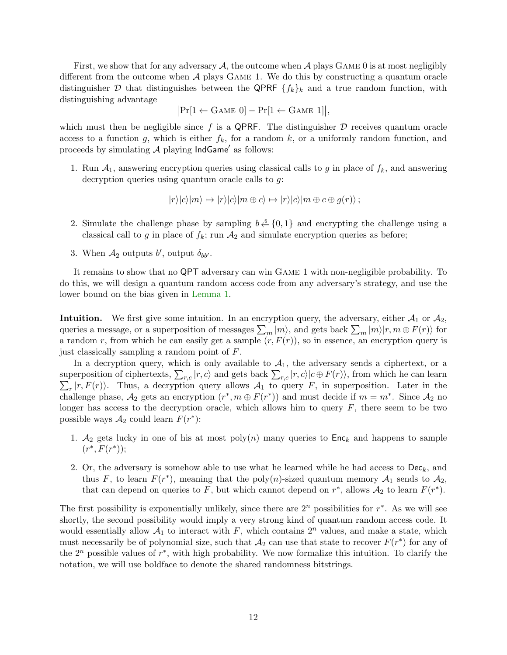First, we show that for any adversary A, the outcome when A plays GAME 0 is at most negligibly different from the outcome when A plays Game 1. We do this by constructing a quantum oracle distinguisher D that distinguishes between the QPRF  $\{f_k\}_k$  and a true random function, with distinguishing advantage

$$
\big|\Pr[1 \leftarrow \mathrm{Game}\ 0] - \Pr[1 \leftarrow \mathrm{Game}\ 1]\big|,
$$

which must then be negligible since f is a QPRF. The distinguisher  $D$  receives quantum oracle access to a function g, which is either  $f_k$ , for a random k, or a uniformly random function, and proceeds by simulating  $A$  playing  $IndGame'$  as follows:

1. Run  $A_1$ , answering encryption queries using classical calls to g in place of  $f_k$ , and answering decryption queries using quantum oracle calls to g:

$$
|r\rangle|c\rangle|m\rangle \mapsto |r\rangle|c\rangle|m \oplus c\rangle \mapsto |r\rangle|c\rangle|m \oplus c \oplus g(r)\rangle ;
$$

- 2. Simulate the challenge phase by sampling  $b \stackrel{\$}{\leftarrow} \{0,1\}$  and encrypting the challenge using a classical call to g in place of  $f_k$ ; run  $A_2$  and simulate encryption queries as before;
- 3. When  $A_2$  outputs b', output  $\delta_{bb'}$ .

It remains to show that no QPT adversary can win Game 1 with non-negligible probability. To do this, we will design a quantum random access code from any adversary's strategy, and use the lower bound on the bias given in [Lemma](#page-4-2) [1.](#page-4-2)

**Intuition.** We first give some intuition. In an encryption query, the adversary, either  $A_1$  or  $A_2$ , queries a message, or a superposition of messages  $\sum_m |m\rangle$ , and gets back  $\sum_m |m\rangle |r, m \oplus F(r)\rangle$  for a random r, from which he can easily get a sample  $(r, F(r))$ , so in essence, an encryption query is just classically sampling a random point of F.

In a decryption query, which is only available to  $A_1$ , the adversary sends a ciphertext, or a superposition of ciphertexts,  $\sum_{r,c} |r, c\rangle$  and gets back  $\sum_{r,c} |r, c\rangle |c \oplus F(r)\rangle$ , from which he can learn  $\sum_{r} |r, F(r) \rangle$ . Thus, a decryption query allows  $\mathcal{A}_1$  to query F, in superposition. Later in the challenge phase,  $\mathcal{A}_2$  gets an encryption  $(r^*, m \oplus F(r^*))$  and must decide if  $m = m^*$ . Since  $\mathcal{A}_2$  no longer has access to the decryption oracle, which allows him to query  $F$ , there seem to be two possible ways  $A_2$  could learn  $F(r^*)$ :

- 1.  $A_2$  gets lucky in one of his at most poly $(n)$  many queries to  $Enc_k$  and happens to sample  $(r^*, F(r^*));$
- 2. Or, the adversary is somehow able to use what he learned while he had access to  $\mathsf{Dec}_k$ , and thus F, to learn  $F(r^*)$ , meaning that the poly $(n)$ -sized quantum memory  $\mathcal{A}_1$  sends to  $\mathcal{A}_2$ , that can depend on queries to F, but which cannot depend on  $r^*$ , allows  $\mathcal{A}_2$  to learn  $F(r^*)$ .

The first possibility is exponentially unlikely, since there are  $2<sup>n</sup>$  possibilities for  $r^*$ . As we will see shortly, the second possibility would imply a very strong kind of quantum random access code. It would essentially allow  $A_1$  to interact with F, which contains  $2^n$  values, and make a state, which must necessarily be of polynomial size, such that  $\mathcal{A}_2$  can use that state to recover  $F(r^*)$  for any of the  $2^n$  possible values of  $r^*$ , with high probability. We now formalize this intuition. To clarify the notation, we will use boldface to denote the shared randomness bitstrings.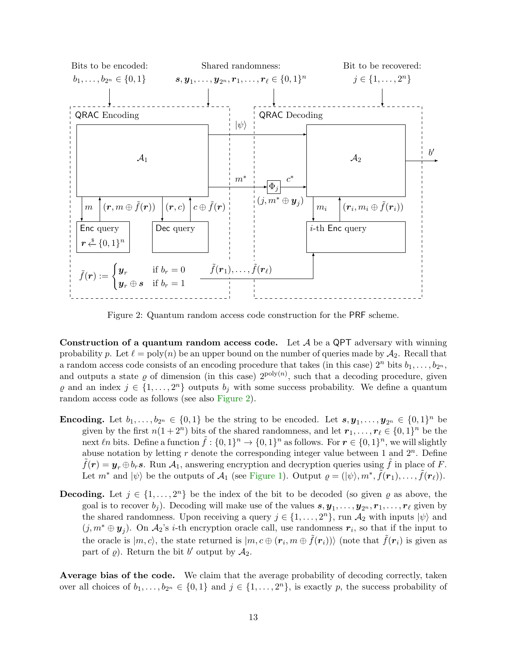

<span id="page-12-0"></span>Figure 2: Quantum random access code construction for the PRF scheme.

Construction of a quantum random access code. Let  $\mathcal A$  be a QPT adversary with winning probability p. Let  $\ell = \text{poly}(n)$  be an upper bound on the number of queries made by  $\mathcal{A}_2$ . Recall that a random access code consists of an encoding procedure that takes (in this case)  $2^n$  bits  $b_1, \ldots, b_{2^n}$ , and outputs a state  $\varrho$  of dimension (in this case)  $2^{poly(n)}$ , such that a decoding procedure, given  $\varrho$  and an index  $j \in \{1, \ldots, 2^n\}$  outputs  $b_j$  with some success probability. We define a quantum random access code as follows (see also [Figure](#page-12-0) [2\)](#page-12-0).

- **Encoding.** Let  $b_1, \ldots, b_{2^n} \in \{0,1\}$  be the string to be encoded. Let  $s, y_1, \ldots, y_{2^n} \in \{0,1\}^n$  be given by the first  $n(1+2^n)$  bits of the shared randomness, and let  $r_1, \ldots, r_\ell \in \{0, 1\}^n$  be the next  $\ell n$  bits. Define a function  $\tilde{f} : \{0,1\}^n \to \{0,1\}^n$  as follows. For  $r \in \{0,1\}^n$ , we will slightly abuse notation by letting  $r$  denote the corresponding integer value between 1 and  $2^n$ . Define  $f(r) = y_r \oplus b_r s$ . Run  $\mathcal{A}_1$ , answering encryption and decryption queries using f in place of F. Let  $m^*$  and  $|\psi\rangle$  be the outputs of  $\mathcal{A}_1$  (see [Figure](#page-10-0) [1\)](#page-10-0). Output  $\varrho = (|\psi\rangle, m^*, \tilde{f}(r_1), \ldots, \tilde{f}(r_\ell)).$
- **Decoding.** Let  $j \in \{1, ..., 2^n\}$  be the index of the bit to be decoded (so given  $\varrho$  as above, the goal is to recover  $b_j$ ). Decoding will make use of the values  $s, y_1, \ldots, y_{2^n}, r_1, \ldots, r_\ell$  given by the shared randomness. Upon receiving a query  $j \in \{1, \ldots, 2<sup>n</sup>\}$ , run  $\mathcal{A}_2$  with inputs  $|\psi\rangle$  and  $(j, m^* \oplus y_j)$ . On  $\mathcal{A}_2$ 's *i*-th encryption oracle call, use randomness  $r_i$ , so that if the input to the oracle is  $|m, c\rangle$ , the state returned is  $|m, c \oplus (r_i, m \oplus \tilde{f}(r_i))\rangle$  (note that  $\tilde{f}(r_i)$  is given as part of  $\varrho$ ). Return the bit b' output by  $\mathcal{A}_2$ .

Average bias of the code. We claim that the average probability of decoding correctly, taken over all choices of  $b_1, \ldots, b_{2^n} \in \{0,1\}$  and  $j \in \{1, \ldots, 2^n\}$ , is exactly p, the success probability of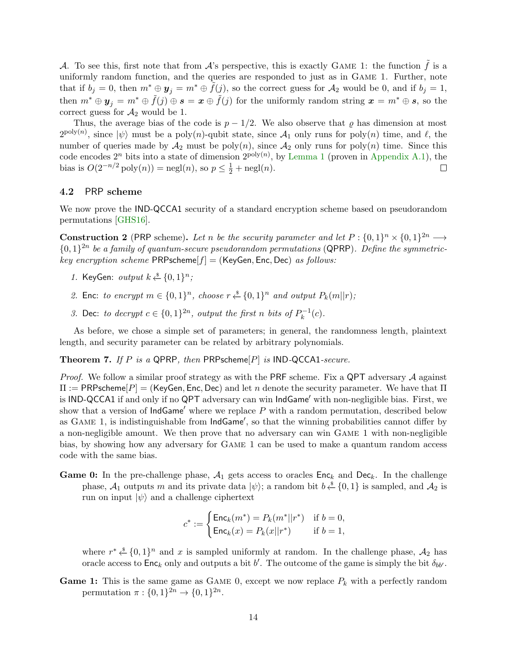A. To see this, first note that from A's perspective, this is exactly GAME 1: the function  $\tilde{f}$  is a uniformly random function, and the queries are responded to just as in Game 1. Further, note that if  $b_j = 0$ , then  $m^* \oplus y_j = m^* \oplus \tilde{f}(j)$ , so the correct guess for  $\mathcal{A}_2$  would be 0, and if  $b_j = 1$ , then  $m^* \oplus y_j = m^* \oplus \tilde{f}(j) \oplus s = x \oplus \tilde{f}(j)$  for the uniformly random string  $x = m^* \oplus s$ , so the correct guess for  $A_2$  would be 1.

Thus, the average bias of the code is  $p - 1/2$ . We also observe that  $\rho$  has dimension at most  $2^{\text{poly}(n)}$ , since  $|\psi\rangle$  must be a poly(n)-qubit state, since  $\mathcal{A}_1$  only runs for poly(n) time, and  $\ell$ , the number of queries made by  $\mathcal{A}_2$  must be poly $(n)$ , since  $\mathcal{A}_2$  only runs for poly $(n)$  time. Since this code encodes  $2^n$  bits into a state of dimension  $2^{poly(n)}$ , by [Lemma](#page-4-2) [1](#page-4-2) (proven in [Appendix](#page-26-8) [A.1\)](#page-26-8), the bias is  $O(2^{-n/2} \text{poly}(n)) = \text{negl}(n)$ , so  $p \leq \frac{1}{2} + \text{negl}(n)$ .  $\Box$ 

### 4.2 PRP scheme

We now prove the **IND-QCCA1** security of a standard encryption scheme based on pseudorandom permutations [\[GHS16\]](#page-25-4).

**Construction 2** (PRP scheme). Let n be the security parameter and let  $P: \{0,1\}^n \times \{0,1\}^{2n} \longrightarrow$  ${0,1}^{2n}$  be a family of quantum-secure pseudorandom permutations (QPRP). Define the symmetrickey encryption scheme  $PRP$ scheme $[f] = (KeyGen, Enc, Dec)$  as follows:

- 1. KeyGen: output  $k \stackrel{\$}{\leftarrow} \{0,1\}^n$ ;
- 2. Enc: to encrypt  $m \in \{0,1\}^n$ , choose  $r \stackrel{\$}{\leftarrow} \{0,1\}^n$  and output  $P_k(m||r)$ ;
- 3. Dec: to decrypt  $c \in \{0,1\}^{2n}$ , output the first n bits of  $P_k^{-1}$  $k^{-1}(c)$ .

As before, we chose a simple set of parameters; in general, the randomness length, plaintext length, and security parameter can be related by arbitrary polynomials.

**Theorem 7.** If P is a QPRP, then PRPscheme $[P]$  is IND-QCCA1-secure.

*Proof.* We follow a similar proof strategy as with the PRF scheme. Fix a QPT adversary  $A$  against  $\Pi := \mathsf{PRPscheme}[P] = (\mathsf{KeyGen}, \mathsf{Enc}, \mathsf{Dec})$  and let n denote the security parameter. We have that  $\Pi$ is IND-QCCA1 if and only if no QPT adversary can win IndGame' with non-negligible bias. First, we show that a version of  $IndGame'$  where we replace  $P$  with a random permutation, described below as  $G$ AME 1, is indistinguishable from  $IndGame'$ , so that the winning probabilities cannot differ by a non-negligible amount. We then prove that no adversary can win Game 1 with non-negligible bias, by showing how any adversary for Game 1 can be used to make a quantum random access code with the same bias.

**Game 0:** In the pre-challenge phase,  $A_1$  gets access to oracles  $Enc_k$  and  $Dec_k$ . In the challenge phase,  $\mathcal{A}_1$  outputs m and its private data  $|\psi\rangle$ ; a random bit  $b \stackrel{s}{\leftarrow} \{0,1\}$  is sampled, and  $\mathcal{A}_2$  is run on input  $|\psi\rangle$  and a challenge ciphertext

$$
c^* := \begin{cases} \mathsf{Enc}_k(m^*) = P_k(m^* || r^*) & \text{if } b = 0, \\ \mathsf{Enc}_k(x) = P_k(x || r^*) & \text{if } b = 1, \end{cases}
$$

where  $r^* \stackrel{\text{d}}{\leftarrow} \{0,1\}^n$  and x is sampled uniformly at random. In the challenge phase,  $\mathcal{A}_2$  has oracle access to  $Enc_k$  only and outputs a bit b'. The outcome of the game is simply the bit  $\delta_{bb'}$ .

**Game 1:** This is the same game as GAME 0, except we now replace  $P_k$  with a perfectly random permutation  $\pi: \{0,1\}^{2n} \to \{0,1\}^{2n}$ .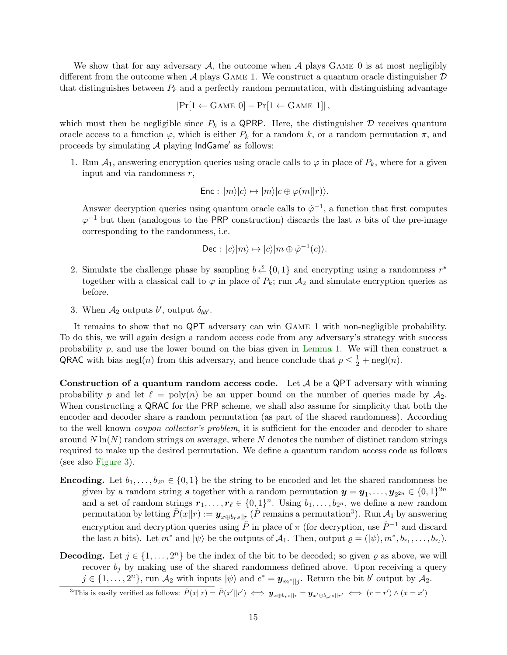We show that for any adversary  $A$ , the outcome when  $A$  plays GAME 0 is at most negligibly different from the outcome when  $A$  plays GAME 1. We construct a quantum oracle distinguisher  $D$ that distinguishes between  $P_k$  and a perfectly random permutation, with distinguishing advantage

$$
|\Pr[1 \leftarrow \text{GAME 0}] - \Pr[1 \leftarrow \text{GAME 1}]|,
$$

which must then be negligible since  $P_k$  is a QPRP. Here, the distinguisher  $\mathcal D$  receives quantum oracle access to a function  $\varphi$ , which is either  $P_k$  for a random k, or a random permutation  $\pi$ , and proceeds by simulating  $A$  playing  $IndGame'$  as follows:

1. Run  $A_1$ , answering encryption queries using oracle calls to  $\varphi$  in place of  $P_k$ , where for a given input and via randomness  $r$ ,

$$
Enc: |m\rangle|c\rangle \mapsto |m\rangle|c \oplus \varphi(m||r)\rangle.
$$

Answer decryption queries using quantum oracle calls to  $\tilde{\varphi}^{-1}$ , a function that first computes  $\varphi^{-1}$  but then (analogous to the PRP construction) discards the last n bits of the pre-image corresponding to the randomness, i.e.

$$
\mathsf{Dec}:\,|c\rangle|m\rangle\mapsto|c\rangle|m\oplus\tilde{\varphi}^{-1}(c)\rangle.
$$

- 2. Simulate the challenge phase by sampling  $b \stackrel{s}{\leftarrow} \{0,1\}$  and encrypting using a randomness  $r^*$ together with a classical call to  $\varphi$  in place of  $P_k$ ; run  $\mathcal{A}_2$  and simulate encryption queries as before.
- 3. When  $A_2$  outputs b', output  $\delta_{bb'}$ .

It remains to show that no QPT adversary can win Game 1 with non-negligible probability. To do this, we will again design a random access code from any adversary's strategy with success probability p, and use the lower bound on the bias given in [Lemma](#page-4-2) [1.](#page-4-2) We will then construct a QRAC with bias negl(n) from this adversary, and hence conclude that  $p \leq \frac{1}{2} + \text{negl}(n)$ .

Construction of a quantum random access code. Let  $\mathcal A$  be a QPT adversary with winning probability p and let  $\ell = \text{poly}(n)$  be an upper bound on the number of queries made by  $\mathcal{A}_2$ . When constructing a QRAC for the PRP scheme, we shall also assume for simplicity that both the encoder and decoder share a random permutation (as part of the shared randomness). According to the well known *coupon collector's problem*, it is sufficient for the encoder and decoder to share around  $N \ln(N)$  random strings on average, where N denotes the number of distinct random strings required to make up the desired permutation. We define a quantum random access code as follows (see also [Figure](#page-15-1) [3\)](#page-15-1).

- **Encoding.** Let  $b_1, \ldots, b_{2n} \in \{0,1\}$  be the string to be encoded and let the shared randomness be given by a random string s together with a random permutation  $y = y_1, \ldots, y_{2^{2n}} \in \{0, 1\}^{2n}$ and a set of random strings  $r_1, \ldots, r_\ell \in \{0, 1\}^n$ . Using  $b_1, \ldots, b_{2^n}$ , we define a new random permutation by letting  $\tilde{P}(\tilde{x}||r) := \boldsymbol{y}_{x \oplus b_r s||r}$  ( $\tilde{P}$  remains a permutation<sup>[3](#page-14-0)</sup>). Run  $\mathcal{A}_1$  by answering encryption and decryption queries using  $\tilde{P}$  in place of  $\pi$  (for decryption, use  $\tilde{P}^{-1}$  and discard the last n bits). Let  $m^*$  and  $|\psi\rangle$  be the outputs of  $\mathcal{A}_1$ . Then, output  $\varrho = (|\psi\rangle, m^*, b_{r_1}, \ldots, b_{r_l}).$
- **Decoding.** Let  $j \in \{1, ..., 2^n\}$  be the index of the bit to be decoded; so given  $\varrho$  as above, we will recover  $b_j$  by making use of the shared randomness defined above. Upon receiving a query  $j \in \{1, \ldots, 2^n\}$ , run  $\mathcal{A}_2$  with inputs  $|\psi\rangle$  and  $c^* = \mathbf{y}_{m^*||j}$ . Return the bit b' output by  $\mathcal{A}_2$ .

```
<sup>3</sup>This is easily verified as follows: \tilde{P}(x||r) = \tilde{P}(x'||r') \iff y_{x \oplus b_r s||r} = y_{x' \oplus b_{r'} s||r'} \iff (r = r') \land (x = x')
```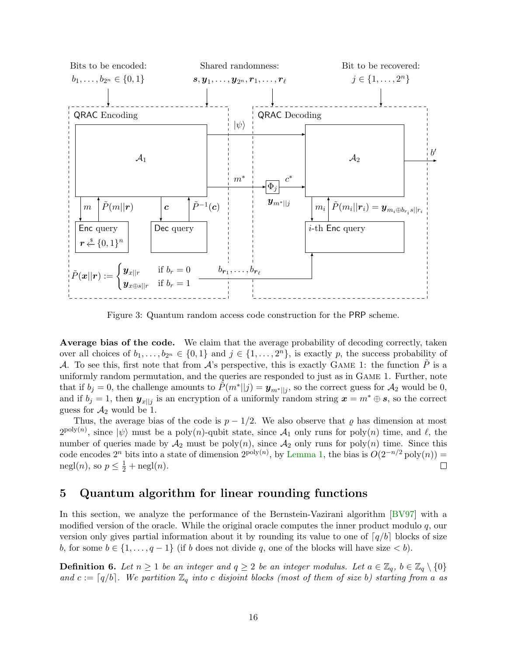

<span id="page-15-1"></span>Figure 3: Quantum random access code construction for the PRP scheme.

Average bias of the code. We claim that the average probability of decoding correctly, taken over all choices of  $b_1, \ldots, b_{2^n} \in \{0,1\}$  and  $j \in \{1, \ldots, 2^n\}$ , is exactly p, the success probability of A. To see this, first note that from  $\mathcal{A}$ 's perspective, this is exactly GAME 1: the function P is a uniformly random permutation, and the queries are responded to just as in Game 1. Further, note that if  $b_j = 0$ , the challenge amounts to  $\tilde{P}(m^*||j) = \mathbf{y}_{m^*||j}$ , so the correct guess for  $\mathcal{A}_2$  would be 0, and if  $b_j = 1$ , then  $y_{x||j}$  is an encryption of a uniformly random string  $x = m^* \oplus s$ , so the correct guess for  $A_2$  would be 1.

Thus, the average bias of the code is  $p - 1/2$ . We also observe that  $\varrho$  has dimension at most  $2^{\text{poly}(n)}$ , since  $|\psi\rangle$  must be a poly(n)-qubit state, since  $\mathcal{A}_1$  only runs for poly(n) time, and  $\ell$ , the number of queries made by  $\mathcal{A}_2$  must be poly $(n)$ , since  $\mathcal{A}_2$  only runs for poly $(n)$  time. Since this code encodes  $2^n$  bits into a state of dimension  $2^{poly(n)}$ , by [Lemma](#page-4-2) [1,](#page-4-2) the bias is  $O(2^{-n/2} \text{poly}(n)) =$ negl(*n*), so  $p \leq \frac{1}{2} + \text{negl}(n)$ .  $\Box$ 

# <span id="page-15-0"></span>5 Quantum algorithm for linear rounding functions

In this section, we analyze the performance of the Bernstein-Vazirani algorithm [\[BV97\]](#page-24-2) with a modified version of the oracle. While the original oracle computes the inner product modulo  $q$ , our version only gives partial information about it by rounding its value to one of  $q/b$  blocks of size b, for some  $b \in \{1, \ldots, q-1\}$  (if b does not divide q, one of the blocks will have size  $\lt b$ ).

<span id="page-15-2"></span>**Definition 6.** Let  $n \geq 1$  be an integer and  $q \geq 2$  be an integer modulus. Let  $a \in \mathbb{Z}_q$ ,  $b \in \mathbb{Z}_q \setminus \{0\}$ and  $c := \lceil q/b \rceil$ . We partition  $\mathbb{Z}_q$  into c disjoint blocks (most of them of size b) starting from a as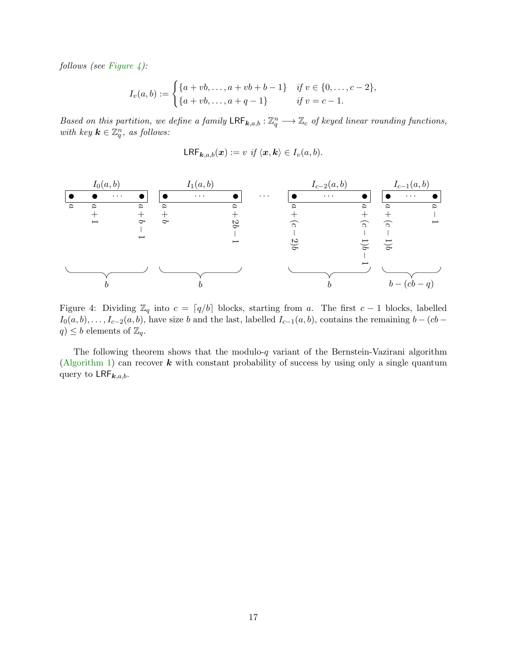follows (see [Figure](#page-16-0) [4\)](#page-16-0):

$$
I_v(a,b) := \begin{cases} \{a+vb,\ldots,a+vb+b-1\} & \text{if } v \in \{0,\ldots,c-2\}, \\ \{a+vb,\ldots,a+q-1\} & \text{if } v=c-1. \end{cases}
$$

Based on this partition, we define a family  $\mathsf{LRF}_{k,a,b} : \mathbb{Z}_q^n \longrightarrow \mathbb{Z}_c$  of keyed linear rounding functions, with key  $\mathbf{k} \in \mathbb{Z}_q^n$ , as follows:

$$
\mathsf{LRF}_{\mathbf{k},a,b}(\boldsymbol{x}) := v \text{ if } \langle \boldsymbol{x}, \boldsymbol{k} \rangle \in I_v(a,b).
$$



<span id="page-16-0"></span>Figure 4: Dividing  $\mathbb{Z}_q$  into  $c = \lceil q/b \rceil$  blocks, starting from a. The first  $c - 1$  blocks, labelled  $I_0(a, b), \ldots, I_{c-2}(a, b)$ , have size b and the last, labelled  $I_{c-1}(a, b)$ , contains the remaining  $b - (cb$  $q) \leq b$  elements of  $\mathbb{Z}_q$ .

The following theorem shows that the modulo- $q$  variant of the Bernstein-Vazirani algorithm [\(Algorithm](#page-17-0) [1\)](#page-17-0) can recover  $k$  with constant probability of success by using only a single quantum query to  $\mathsf{LRF}_{k,a,b}$ .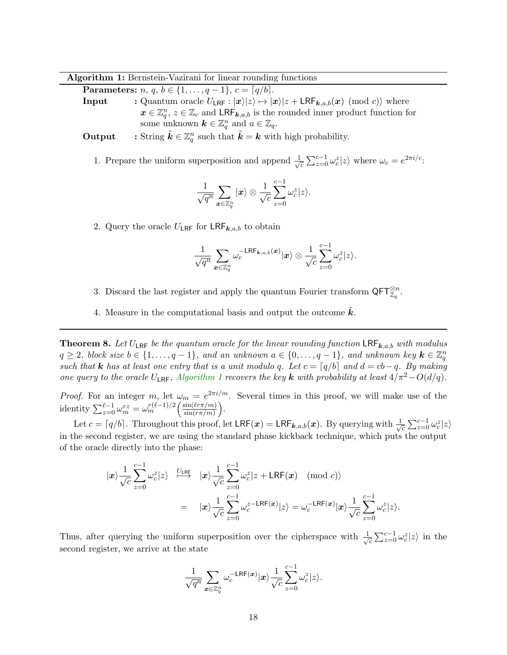Algorithm 1: Bernstein-Vazirani for linear rounding functions

**Parameters:**  $n, q, b \in \{1, ..., q - 1\}, c = \lceil q/b \rceil$ .

**Input** : Quantum oracle  $U_{\text{LRF}} : |x\rangle |z\rangle \mapsto |x\rangle |z + \text{LRF}_{k,a,b}(x) \pmod{c}$  where  $x \in \mathbb{Z}_q^n$ ,  $z \in \mathbb{Z}_c$  and  $\mathsf{LRF}_{k,a,b}$  is the rounded inner product function for some unknown  $\mathbf{k} \in \mathbb{Z}_q^n$  and  $a \in \mathbb{Z}_q$ .

**Output** : String  $\tilde{k} \in \mathbb{Z}_q^n$  such that  $\tilde{k} = k$  with high probability.

1. Prepare the uniform superposition and append  $\frac{1}{\sqrt{2}}$  $\frac{1}{c} \sum_{z=0}^{c-1} \omega_c^z |z\rangle$  where  $\omega_c = e^{2\pi i/c}$ .

$$
\frac{1}{\sqrt{q^n}}\sum_{\bm{x}\in\mathbb{Z}_q^n}|\bm{x}\rangle\otimes\frac{1}{\sqrt{c}}\sum_{z=0}^{c-1}\omega_c^z|z\rangle.
$$

2. Query the oracle  $U_{\text{LRF}}$  for  $\text{LRF}_{k,a,b}$  to obtain

$$
\frac{1}{\sqrt{q^n}}\sum_{\boldsymbol{x}\in\mathbb{Z}_q^n}\omega_c^{-\mathsf{LRF}_{\boldsymbol{k},a,b}(\boldsymbol{x})}|\boldsymbol{x}\rangle\otimes\frac{1}{\sqrt{c}}\sum_{z=0}^{c-1}\omega_c^z|z\rangle.
$$

- 3. Discard the last register and apply the quantum Fourier transform  $\mathsf{QFT}_{\mathbb{Z}_q}^{\otimes n}$ .
- <span id="page-17-0"></span>4. Measure in the computational basis and output the outcome  $k$ .

<span id="page-17-1"></span>**Theorem 8.** Let  $U_{\text{LRF}}$  be the quantum oracle for the linear rounding function  $\text{LRF}_{k,a,b}$  with modulus  $q \geq 2$ , block size  $b \in \{1, \ldots, q-1\}$ , and an unknown  $a \in \{0, \ldots, q-1\}$ , and unknown key  $\mathbf{k} \in \mathbb{Z}_q^n$ such that **k** has at least one entry that is a unit modulo q. Let  $c = \lceil q/b \rceil$  and  $d = cb-q$ . By making one query to the oracle  $U_{LRF}$ , [Algorithm](#page-17-0) [1](#page-17-0) recovers the key k with probability at least  $4/\pi^2-O(d/q)$ .

*Proof.* For an integer m, let  $\omega_m = e^{2\pi i/m}$ . Several times in this proof, we will make use of the identity  $\sum_{z=0}^{\ell-1} \omega_m^{rz} = \omega_m^{r(\ell-1)/2} \left( \frac{\sin(\ell r \pi/m)}{\sin(r \pi/m)} \right)$  $\frac{\sin(\ell r\pi/m)}{\sin(r\pi/m)}\bigg).$ 

Let  $c = \lceil q/b \rceil$ . Throughout this proof, let  $LRF(\boldsymbol{x}) = LRF_{\boldsymbol{k},a,b}(\boldsymbol{x})$ . By querying with  $\frac{1}{\sqrt{2}}$  $\sum_{c}^{c-1} \omega_c^z |z\rangle$ in the second register, we are using the standard phase kickback technique, which puts the output of the oracle directly into the phase:

$$
|\mathbf{x}\rangle \frac{1}{\sqrt{c}} \sum_{z=0}^{c-1} \omega_c^z |z\rangle \xrightarrow{U_{LRF}} |\mathbf{x}\rangle \frac{1}{\sqrt{c}} \sum_{z=0}^{c-1} \omega_c^z |z + \text{LRF}(\mathbf{x}) \pmod{c} \rangle
$$
  

$$
= |\mathbf{x}\rangle \frac{1}{\sqrt{c}} \sum_{z=0}^{c-1} \omega_c^{z - \text{LRF}(\mathbf{x})} |z\rangle = \omega_c^{-\text{LRF}(\mathbf{x})} |\mathbf{x}\rangle \frac{1}{\sqrt{c}} \sum_{z=0}^{c-1} \omega_c^z |z\rangle.
$$

Thus, after querying the uniform superposition over the cipherspace with  $\frac{1}{\sqrt{2}}$  $\sum_{c}^{c-1} \omega_c^z |z\rangle$  in the second register, we arrive at the state

$$
\frac{1}{\sqrt{q^n}}\sum_{\bm{x}\in\mathbb{Z}_q^n}\omega_c^{-\mathsf{LRF}(\bm{x})}|\bm{x}\rangle\frac{1}{\sqrt{c}}\sum_{z=0}^{c-1}\omega_c^z|z\rangle.
$$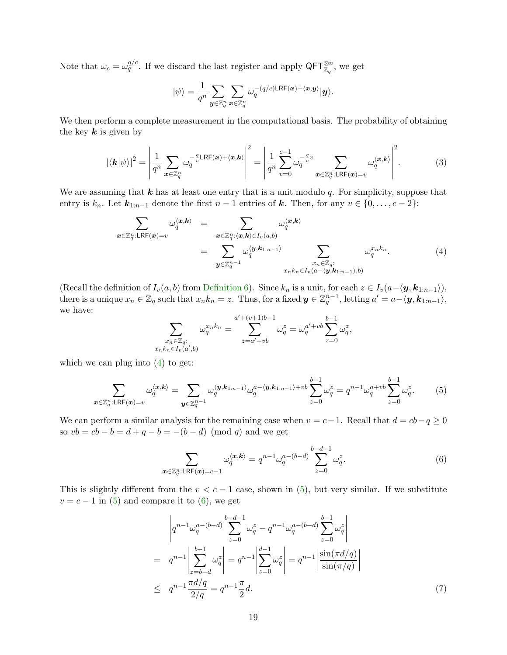Note that  $\omega_c = \omega_q^{q/c}$ . If we discard the last register and apply  $\mathsf{QFT}_{\mathbb{Z}_q}^{\otimes n}$ , we get

$$
|\psi\rangle=\frac{1}{q^n}\sum_{\boldsymbol{y}\in\mathbb{Z}_q^n}\sum_{\boldsymbol{x}\in\mathbb{Z}_q^n}\omega_q^{-(q/c)\text{LRF}(\boldsymbol{x})+\langle\boldsymbol{x},\boldsymbol{y}\rangle}|\boldsymbol{y}\rangle.
$$

We then perform a complete measurement in the computational basis. The probability of obtaining the key  $k$  is given by

<span id="page-18-3"></span>
$$
|\langle \mathbf{k} | \psi \rangle|^2 = \left| \frac{1}{q^n} \sum_{\mathbf{x} \in \mathbb{Z}_q^n} \omega_q^{-\frac{q}{c} \mathsf{LRF}(\mathbf{x}) + \langle \mathbf{x}, \mathbf{k} \rangle} \right|^2 = \left| \frac{1}{q^n} \sum_{v=0}^{c-1} \omega_q^{-\frac{q}{c}v} \sum_{\mathbf{x} \in \mathbb{Z}_q^n : \mathsf{LRF}(\mathbf{x}) = v} \omega_q^{\langle \mathbf{x}, \mathbf{k} \rangle} \right|^2. \tag{3}
$$

We are assuming that  $k$  has at least one entry that is a unit modulo q. For simplicity, suppose that entry is  $k_n$ . Let  $\mathbf{k}_{1:n-1}$  denote the first  $n-1$  entries of  $\mathbf{k}$ . Then, for any  $v \in \{0, \ldots, c-2\}$ :

<span id="page-18-0"></span>
$$
\sum_{\mathbf{x} \in \mathbb{Z}_q^n : \mathsf{LRF}(\mathbf{x}) = v} \omega_q^{\langle \mathbf{x}, \mathbf{k} \rangle} = \sum_{\mathbf{x} \in \mathbb{Z}_q^n : \langle \mathbf{x}, \mathbf{k} \rangle \in I_v(a, b)} \omega_q^{\langle \mathbf{x}, \mathbf{k} \rangle} = \sum_{\mathbf{y} \in \mathbb{Z}_q^{n-1}} \omega_q^{\langle \mathbf{y}, \mathbf{k}_{1:n-1} \rangle} \sum_{\substack{x_n \in \mathbb{Z}_q : \\ x_n k_n \in I_v(a - \langle \mathbf{y}, \mathbf{k}_{1:n-1} \rangle, b)}} \omega_q^{x_n k_n}.
$$
\n(4)

(Recall the definition of  $I_v(a, b)$  from [Definition](#page-15-2) [6\)](#page-15-2). Since  $k_n$  is a unit, for each  $z \in I_v(a-\langle \mathbf{y}, \mathbf{k}_{1:n-1} \rangle)$ , there is a unique  $x_n \in \mathbb{Z}_q$  such that  $x_n k_n = z$ . Thus, for a fixed  $y \in \mathbb{Z}_q^{n-1}$ , letting  $a' = a - \langle y, k_{1:n-1} \rangle$ , we have:

$$
\sum_{\substack{x_n \in \mathbb{Z}_q:\\x_n k_n \in I_v(a',b)}} \omega_q^{x_n k_n} = \sum_{z=a'+vb}^{a'+(v+1)b-1} \omega_q^z = \omega_q^{a'+vb} \sum_{z=0}^{b-1} \omega_q^z,
$$

which we can plug into  $(4)$  to get:

<span id="page-18-1"></span>
$$
\sum_{\mathbf{x}\in\mathbb{Z}_q^n:\text{LRF}(\mathbf{x})=v} \omega_q^{\langle\mathbf{x},\mathbf{k}\rangle} = \sum_{\mathbf{y}\in\mathbb{Z}_q^{n-1}} \omega_q^{\langle\mathbf{y},\mathbf{k}_{1:n-1}\rangle} \omega_q^{a-\langle\mathbf{y},\mathbf{k}_{1:n-1}\rangle+vb} \sum_{z=0}^{b-1} \omega_q^z = q^{n-1} \omega_q^{a+vb} \sum_{z=0}^{b-1} \omega_q^z.
$$
 (5)

We can perform a similar analysis for the remaining case when  $v = c - 1$ . Recall that  $d = cb - q \ge 0$ so  $vb = cb - b = d + q - b = -(b - d) \pmod{q}$  and we get

<span id="page-18-2"></span>
$$
\sum_{\mathbf{x}\in\mathbb{Z}_q^n:\text{LRF}(\mathbf{x})=c-1}\omega_q^{\langle\mathbf{x},\mathbf{k}\rangle} = q^{n-1}\omega_q^{a-(b-d)}\sum_{z=0}^{b-d-1}\omega_q^z.
$$
(6)

This is slightly different from the  $v < c - 1$  case, shown in [\(5\)](#page-18-1), but very similar. If we substitute  $v = c - 1$  in [\(5\)](#page-18-1) and compare it to [\(6\)](#page-18-2), we get

<span id="page-18-4"></span>
$$
\begin{aligned}\n\left| q^{n-1} \omega_q^{a-(b-d)} \sum_{z=0}^{b-d-1} \omega_q^z - q^{n-1} \omega_q^{a-(b-d)} \sum_{z=0}^{b-1} \omega_q^z \right| \\
= q^{n-1} \left| \sum_{z=b-d}^{b-1} \omega_q^z \right| &= q^{n-1} \left| \sum_{z=0}^{d-1} \omega_q^z \right| = q^{n-1} \left| \frac{\sin(\pi d/q)}{\sin(\pi/q)} \right| \\
\leq q^{n-1} \frac{\pi d/q}{2/q} &= q^{n-1} \frac{\pi}{2} d.\n\end{aligned} \tag{7}
$$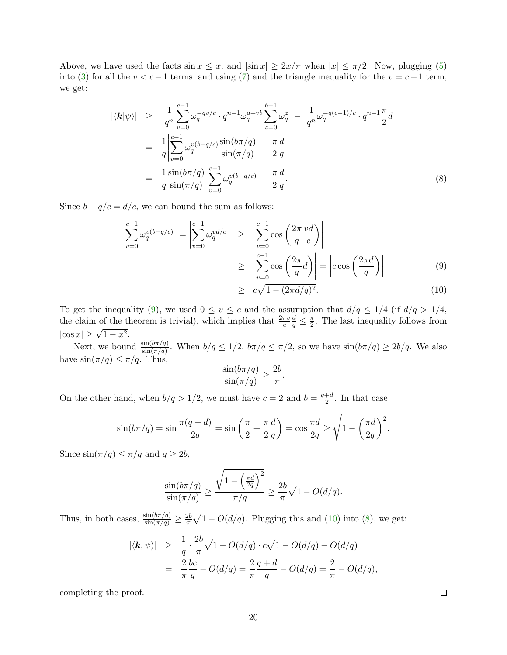Above, we have used the facts  $\sin x \leq x$ , and  $|\sin x| \geq 2x/\pi$  when  $|x| \leq \pi/2$ . Now, plugging [\(5\)](#page-18-1) into [\(3\)](#page-18-3) for all the  $v < c-1$  terms, and using [\(7\)](#page-18-4) and the triangle inequality for the  $v = c-1$  term, we get:

<span id="page-19-1"></span>
$$
|\langle \mathbf{k} | \psi \rangle| \geq \left| \frac{1}{q^n} \sum_{v=0}^{c-1} \omega_q^{-qv/c} \cdot q^{n-1} \omega_q^{a+vb} \sum_{z=0}^{b-1} \omega_q^{z} \right| - \left| \frac{1}{q^n} \omega_q^{-q(c-1)/c} \cdot q^{n-1} \frac{\pi}{2} d \right|
$$
  
\n
$$
= \frac{1}{q} \left| \sum_{v=0}^{c-1} \omega_q^{v(b-q/c)} \frac{\sin(b\pi/q)}{\sin(\pi/q)} \right| - \frac{\pi}{2} \frac{d}{q}
$$
  
\n
$$
= \frac{1}{q} \frac{\sin(b\pi/q)}{\sin(\pi/q)} \left| \sum_{v=0}^{c-1} \omega_q^{v(b-q/c)} \right| - \frac{\pi}{2} \frac{d}{q}.
$$
 (8)

Since  $b - q/c = d/c$ , we can bound the sum as follows:

<span id="page-19-0"></span>
$$
\left| \sum_{v=0}^{c-1} \omega_q^{v(b-q/c)} \right| = \left| \sum_{v=0}^{c-1} \omega_q^{vd/c} \right| \ge \left| \sum_{v=0}^{c-1} \cos\left(\frac{2\pi}{q} \frac{vd}{c}\right) \right|
$$
  

$$
\ge \left| \sum_{v=0}^{c-1} \cos\left(\frac{2\pi}{q} d\right) \right| = \left| c \cos\left(\frac{2\pi d}{q}\right) \right|
$$
  

$$
\ge c\sqrt{1 - (2\pi d/q)^2}.
$$
 (10)

To get the inequality [\(9\)](#page-19-0), we used  $0 \le v \le c$  and the assumption that  $d/q \le 1/4$  (if  $d/q > 1/4$ , the claim of the theorem is trivial), which implies that  $\frac{2\pi v}{c}$  $\frac{d}{q} \leq \frac{\pi}{2}$  $\frac{\pi}{2}$ . The last inequality follows from  $|\cos x| \geq \sqrt{1-x^2}$ .

Next, we bound  $\frac{\sin(b\pi/q)}{\sin(\pi/q)}$ . When  $b/q \leq 1/2$ ,  $b\pi/q \leq \pi/2$ , so we have  $\sin(b\pi/q) \geq 2b/q$ . We also have  $\sin(\pi/q) \leq \pi/q$ . Thus,

$$
\frac{\sin(b\pi/q)}{\sin(\pi/q)} \ge \frac{2b}{\pi}.
$$

On the other hand, when  $b/q > 1/2$ , we must have  $c = 2$  and  $b = \frac{q+d}{2}$  $\frac{+a}{2}$ . In that case

$$
\sin(b\pi/q) = \sin\frac{\pi(q+d)}{2q} = \sin\left(\frac{\pi}{2} + \frac{\pi}{2}\frac{d}{q}\right) = \cos\frac{\pi d}{2q} \ge \sqrt{1 - \left(\frac{\pi d}{2q}\right)^2}.
$$

Since  $\sin(\pi/q) \leq \pi/q$  and  $q \geq 2b$ ,

$$
\frac{\sin(b\pi/q)}{\sin(\pi/q)} \ge \frac{\sqrt{1-\left(\frac{\pi d}{2q}\right)^2}}{\pi/q} \ge \frac{2b}{\pi}\sqrt{1-O(d/q)}.
$$

Thus, in both cases,  $\frac{\sin(b\pi/q)}{\sin(\pi/q)} \geq \frac{2b}{\pi}$  $\frac{2b}{\pi}\sqrt{1-O(d/q)}$ . Plugging this and [\(10\)](#page-19-0) into [\(8\)](#page-19-1), we get:

$$
\begin{array}{rcl} |\langle \mathbf{k}, \psi \rangle| & \geq & \frac{1}{q} \cdot \frac{2b}{\pi} \sqrt{1 - O(d/q)} \cdot c \sqrt{1 - O(d/q)} - O(d/q) \\ & = & \frac{2}{\pi} \frac{bc}{q} - O(d/q) = \frac{2}{\pi} \frac{q+d}{q} - O(d/q) = \frac{2}{\pi} - O(d/q), \end{array}
$$

completing the proof.

 $\Box$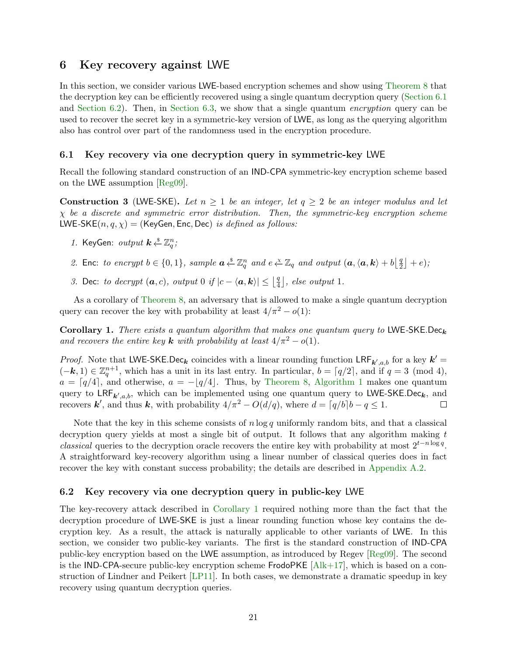# <span id="page-20-0"></span>6 Key recovery against LWE

In this section, we consider various LWE-based encryption schemes and show using [Theorem](#page-17-1) [8](#page-17-1) that the decryption key can be efficiently recovered using a single quantum decryption query [\(Section](#page-20-1) [6.1](#page-20-1) and [Section](#page-23-0) [6.2\)](#page-20-2). Then, in Section [6.3,](#page-23-0) we show that a single quantum *encryption* query can be used to recover the secret key in a symmetric-key version of LWE, as long as the querying algorithm also has control over part of the randomness used in the encryption procedure.

### <span id="page-20-1"></span>6.1 Key recovery via one decryption query in symmetric-key LWE

Recall the following standard construction of an IND-CPA symmetric-key encryption scheme based on the LWE assumption [\[Reg09\]](#page-26-1).

<span id="page-20-4"></span>**Construction 3** (LWE-SKE). Let  $n \geq 1$  be an integer, let  $q \geq 2$  be an integer modulus and let  $\chi$  be a discrete and symmetric error distribution. Then, the symmetric-key encryption scheme LWE-SKE $(n, q, \chi)$  = (KeyGen, Enc, Dec) is defined as follows:

- 1. KeyGen:  $output \; k \overset{\$}{\leftarrow} \mathbb{Z}_q^n;$
- 2. Enc: to encrypt  $b \in \{0,1\}$ , sample  $a \stackrel{s}{\leftarrow} \mathbb{Z}_q^n$  and  $e \stackrel{\chi}{\leftarrow} \mathbb{Z}_q$  and output  $(a, \langle a, k \rangle + b \left\lfloor \frac{q}{2} \right\rfloor)$  $\frac{q}{2}$  | + e);
- 3. Dec: to decrypt  $(a, c)$ , output 0 if  $|c \langle a, k \rangle| \leq |\frac{q}{4}|$  $\lfloor \frac{q}{4} \rfloor$ , else output 1.

As a corollary of [Theorem](#page-17-1) [8,](#page-17-1) an adversary that is allowed to make a single quantum decryption query can recover the key with probability at least  $4/\pi^2 - o(1)$ :

<span id="page-20-3"></span>Corollary 1. There exists a quantum algorithm that makes one quantum query to LWE-SKE.Dec<sub>k</sub> and recovers the entire key **k** with probability at least  $4/\pi^2 - o(1)$ .

*Proof.* Note that LWE-SKE.Dec<sub>k</sub> coincides with a linear rounding function  $LRF_{k',a,b}$  for a key  $k' =$  $(-k, 1) \in \mathbb{Z}_q^{n+1}$ , which has a unit in its last entry. In particular,  $b = \lceil q/2 \rceil$ , and if  $q = 3 \pmod{4}$ ,  $a = \lceil q/4 \rceil$ , and otherwise,  $a = -\lceil q/4 \rceil$ . Thus, by [Theorem](#page-17-1) [8,](#page-17-1) [Algorithm](#page-17-0) [1](#page-17-0) makes one quantum query to  $LRF_{k',a,b}$ , which can be implemented using one quantum query to LWE-SKE.Dec<sub>k</sub>, and recovers k', and thus k, with probability  $4/\pi^2 - O(d/q)$ , where  $d = \lceil q/b \rceil b - q \leq 1$ .  $\Box$ 

Note that the key in this scheme consists of  $n \log q$  uniformly random bits, and that a classical decryption query yields at most a single bit of output. It follows that any algorithm making  $t$ classical queries to the decryption oracle recovers the entire key with probability at most  $2^{t-n\log q}$ . A straightforward key-recovery algorithm using a linear number of classical queries does in fact recover the key with constant success probability; the details are described in [Appendix](#page-28-1) [A.2.](#page-28-1)

#### <span id="page-20-2"></span>6.2 Key recovery via one decryption query in public-key LWE

The key-recovery attack described in [Corollary](#page-20-3) [1](#page-20-3) required nothing more than the fact that the decryption procedure of LWE-SKE is just a linear rounding function whose key contains the decryption key. As a result, the attack is naturally applicable to other variants of LWE. In this section, we consider two public-key variants. The first is the standard construction of IND-CPA public-key encryption based on the LWE assumption, as introduced by Regev [\[Reg09\]](#page-26-1). The second is the IND-CPA-secure public-key encryption scheme FrodoPKE  $[A_{ik+17}]$ , which is based on a construction of Lindner and Peikert [\[LP11\]](#page-25-7). In both cases, we demonstrate a dramatic speedup in key recovery using quantum decryption queries.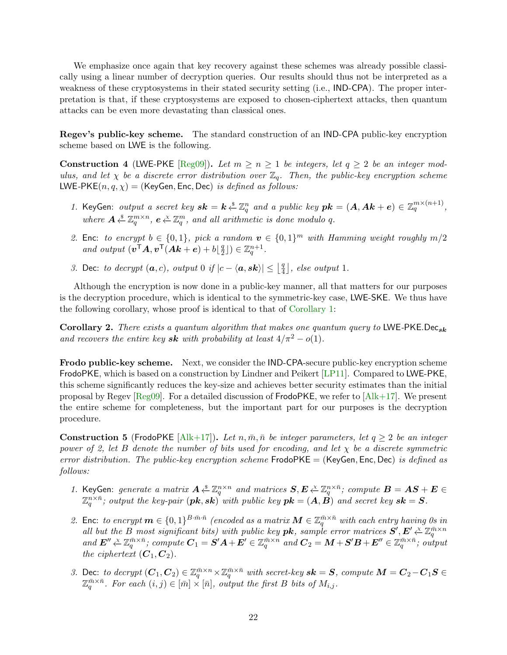We emphasize once again that key recovery against these schemes was already possible classically using a linear number of decryption queries. Our results should thus not be interpreted as a weakness of these cryptosystems in their stated security setting (i.e., IND-CPA). The proper interpretation is that, if these cryptosystems are exposed to chosen-ciphertext attacks, then quantum attacks can be even more devastating than classical ones.

Regev's public-key scheme. The standard construction of an IND-CPA public-key encryption scheme based on LWE is the following.

Construction 4 (LWE-PKE [\[Reg09\]](#page-26-1)). Let  $m \geq n \geq 1$  be integers, let  $q \geq 2$  be an integer modulus, and let  $\chi$  be a discrete error distribution over  $\mathbb{Z}_q$ . Then, the public-key encryption scheme LWE-PKE $(n, q, \chi)$  = (KeyGen, Enc, Dec) is defined as follows:

- 1. KeyGen: output a secret key  $sk = k \xleftarrow{\$} \mathbb{Z}_q^n$  and a public key  $pk = (A, Ak + e) \in \mathbb{Z}_q^{m \times (n+1)}$ , where  $A \overset{\$}{\leftarrow} \mathbb{Z}_q^{m \times n}$ ,  $e \overset{\chi}{\leftarrow} \mathbb{Z}_q^m$ , and all arithmetic is done modulo q.
- 2. Enc: to encrypt  $b \in \{0,1\}$ , pick a random  $v \in \{0,1\}^m$  with Hamming weight roughly  $m/2$ and output  $(\mathbf{v}^{\mathsf{T}}\mathbf{A}, \mathbf{v}^{\mathsf{T}}(\mathbf{A}\mathbf{k}+\mathbf{e})+b)\frac{q}{2}$  $\left(\frac{q}{2}\right]$ )  $\in \mathbb{Z}_q^{n+1}$ .
- 3. Dec: to decrypt  $(a, c)$ , output 0 if  $|c \langle a, sk \rangle| \leq \left| \frac{q}{4} \right|$  $\lfloor \frac{q}{4} \rfloor$ , else output 1.

Although the encryption is now done in a public-key manner, all that matters for our purposes is the decryption procedure, which is identical to the symmetric-key case, LWE-SKE. We thus have the following corollary, whose proof is identical to that of [Corollary](#page-20-3) [1:](#page-20-3)

Corollary 2. There exists a quantum algorithm that makes one quantum query to LWE-PKE.Decsk and recovers the entire key sk with probability at least  $4/\pi^2 - o(1)$ .

Frodo public-key scheme. Next, we consider the IND-CPA-secure public-key encryption scheme FrodoPKE, which is based on a construction by Lindner and Peikert [\[LP11\]](#page-25-7). Compared to LWE-PKE, this scheme significantly reduces the key-size and achieves better security estimates than the initial proposal by Regev [\[Reg09\]](#page-26-1). For a detailed discussion of FrodoPKE, we refer to [\[Alk+17\]](#page-24-3). We present the entire scheme for completeness, but the important part for our purposes is the decryption procedure.

**Construction 5** (FrodoPKE [\[Alk+17\]](#page-24-3)). Let  $n, \bar{m}, \bar{n}$  be integer parameters, let  $q \geq 2$  be an integer power of 2, let B denote the number of bits used for encoding, and let  $\chi$  be a discrete symmetric error distribution. The public-key encryption scheme  $FrodoPKE = (KeyGen, Enc, Dec)$  is defined as follows:

- 1. KeyGen: generate a matrix  $A \stackrel{s}{\leftarrow} \mathbb{Z}_q^{n \times n}$  and matrices  $S, E \stackrel{\chi}{\leftarrow} \mathbb{Z}_q^{n \times \bar{n}}$ ; compute  $B = AS + E \in$  $\mathbb{Z}_q^{n\times \bar{n}}$ ; output the key-pair  $(\bm{pk} ,\bm{sk})^{^\intercal}$  with public key  $\bm{pk} = (\bm{A}, \vec{\bm{B}})$  and secret key  $\bm{sk} = \bm{S}.$
- 2. Enc: to encrypt  $m \in \{0,1\}^{B \cdot \bar{m} \cdot \bar{n}}$  (encoded as a matrix  $\mathbf{M} \in \mathbb{Z}_q^{\bar{m} \times \bar{n}}$  with each entry having 0s in all but the B most significant bits) with public key **pk**, sample error matrices  $S', E' \xleftarrow{\chi} \mathbb{Z}_q^{\bar{m} \times n}$ <br>and  $E'' \xleftarrow{\chi} \mathbb{Z}_q^{\bar{m} \times \bar{n}}$ ; compute  $C_1 = S'A + E' \in \mathbb{Z}_q^{\bar{m} \times n}$  and  $C_2 = M + S'B + E'' \in \mathbb{Z}_q^{\bar{m} \times \$ the ciphertext  $(C_1, C_2)$ .
- 3. Dec: to decrypt  $(C_1, C_2) \in \mathbb{Z}_q^{\bar{m} \times n} \times \mathbb{Z}_q^{\bar{m} \times \bar{n}}$  with secret-key  $sk = S$ , compute  $M = C_2 C_1S \in$  $\mathbb{Z}_q^{\bar{m}\times\bar{n}}$ . For each  $(i, j) \in [\bar{m}] \times [\bar{n}]$ , output the first B bits of  $M_{i,j}$ .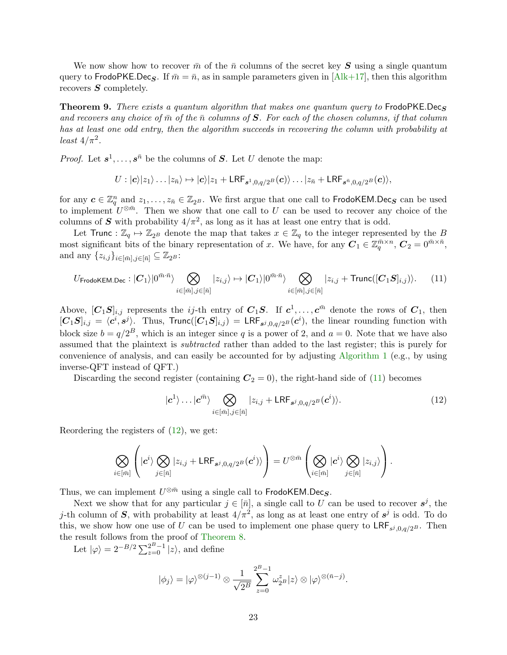We now show how to recover  $\bar{m}$  of the  $\bar{n}$  columns of the secret key S using a single quantum query to FrodoPKE.Dec<sub>S</sub>. If  $\bar{m} = \bar{n}$ , as in sample parameters given in [\[Alk+17\]](#page-24-3), then this algorithm recovers  $S$  completely.

**Theorem 9.** There exists a quantum algorithm that makes one quantum query to FrodoPKE.Decs and recovers any choice of  $\bar{m}$  of the  $\bar{n}$  columns of S. For each of the chosen columns, if that column has at least one odd entry, then the algorithm succeeds in recovering the column with probability at least  $4/\pi^2$ .

*Proof.* Let  $s^1, \ldots, s^{\bar{n}}$  be the columns of S. Let U denote the map:

$$
U: |\mathbf{c}\rangle |z_1\rangle \dots |z_{\bar{n}}\rangle \mapsto |\mathbf{c}\rangle |z_1 + \mathsf{LRF}_{s^1,0,q/2^B}(\mathbf{c})\rangle \dots |z_{\bar{n}} + \mathsf{LRF}_{s^{\bar{n}},0,q/2^B}(\mathbf{c})\rangle,
$$

for any  $c \in \mathbb{Z}_q^n$  and  $z_1, \ldots, z_{\bar{n}} \in \mathbb{Z}_{2^B}$ . We first argue that one call to FrodoKEM.Dec<sub>S</sub> can be used to implement  $U^{\otimes m}$ . Then we show that one call to U can be used to recover any choice of the columns of S with probability  $4/\pi^2$ , as long as it has at least one entry that is odd.

Let Trunc :  $\mathbb{Z}_q \mapsto \mathbb{Z}_{2^B}$  denote the map that takes  $x \in \mathbb{Z}_q$  to the integer represented by the B most significant bits of the binary representation of x. We have, for any  $C_1 \in \mathbb{Z}_q^{\bar{m}\times n}$ ,  $C_2 = 0^{\bar{m}\times \bar{n}}$ , and any  $\{z_{i,j}\}_{i\in[\bar{m}],j\in[\bar{n}]} \subseteq \mathbb{Z}_{2^B}$ :

<span id="page-22-0"></span>
$$
U_{\mathsf{FrodoKEM,Dec}}: |C_1\rangle|0^{\bar{m}\cdot\bar{n}}\rangle \bigotimes_{i\in[\bar{m}],j\in[\bar{n}]} |z_{i,j}\rangle \mapsto |C_1\rangle|0^{\bar{m}\cdot\bar{n}}\rangle \bigotimes_{i\in[\bar{m}],j\in[\bar{n}]} |z_{i,j} + \mathsf{Trunc}([C_1S]_{i,j})\rangle. \tag{11}
$$

Above,  $[C_1S]_{i,j}$  represents the *ij*-th entry of  $C_1S$ . If  $c^1, \ldots, c^{\bar{m}}$  denote the rows of  $C_1$ , then  $[C_1S]_{i,j} = \langle c^i, s^j \rangle$ . Thus, Trunc $([C_1S]_{i,j}) = \text{LRF}_{s^j,0,q/2^B}(c^i)$ , the linear rounding function with block size  $b = q/2^B$ , which is an integer since q is a power of 2, and  $a = 0$ . Note that we have also assumed that the plaintext is subtracted rather than added to the last register; this is purely for convenience of analysis, and can easily be accounted for by adjusting [Algorithm](#page-17-0) [1](#page-17-0) (e.g., by using inverse-QFT instead of QFT.)

Discarding the second register (containing  $C_2 = 0$ ), the right-hand side of [\(11\)](#page-22-0) becomes

<span id="page-22-1"></span>
$$
|c^1\rangle \dots |c^{\bar{m}}\rangle \bigotimes_{i \in [\bar{m}], j \in [\bar{n}]} |z_{i,j} + \mathsf{LRF}_{s^j, 0, q/2^B}(c^i)\rangle. \tag{12}
$$

Reordering the registers of  $(12)$ , we get:

$$
\bigotimes_{i\in [\bar{m}]}\left( \ket{c^i}\bigotimes_{j\in [\bar{n}]} \ket{z_{i,j}+\textsf{LRF}_{\bm{s}^j,0,q/2^B}(\bm{c}^i)}\right)=U^{\otimes \bar{m}}\left(\bigotimes_{i\in [\bar{m}]} \ket{c^i}\bigotimes_{j\in [\bar{n}]} \ket{z_{i,j}}\right).
$$

Thus, we can implement  $U^{\otimes \bar{m}}$  using a single call to FrodoKEM.Dec<sub>S</sub>.

Next we show that for any particular  $j \in [\bar{n}]$ , a single call to U can be used to recover  $s^j$ , the j-th column of S, with probability at least  $4/\pi^2$ , as long as at least one entry of  $s^j$  is odd. To do this, we show how one use of U can be used to implement one phase query to  $LRF_{s^j,0,q/2^B}$ . Then the result follows from the proof of [Theorem](#page-17-1) [8.](#page-17-1)

Let  $|\varphi\rangle = 2^{-B/2} \sum_{z=0}^{2^B-1} |z\rangle$ , and define

$$
|\phi_j\rangle = |\varphi\rangle^{\otimes (j-1)} \otimes \frac{1}{\sqrt{2^B}} \sum_{z=0}^{2^B-1} \omega_{2^B}^z |z\rangle \otimes |\varphi\rangle^{\otimes (\bar{n}-j)}.
$$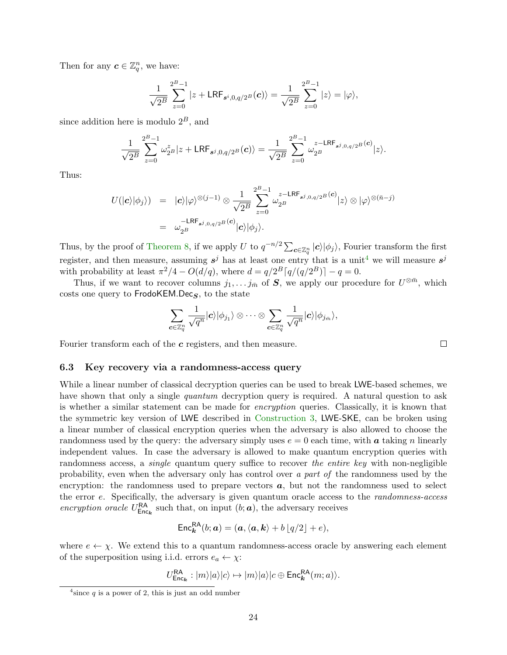Then for any  $\boldsymbol{c} \in \mathbb{Z}_q^n$ , we have:

$$
\frac{1}{\sqrt{2^B}} \sum_{z=0}^{2^B-1} |z + \mathsf{LRF}_{s^i, 0, q/2^B}(\mathbf{c})\rangle = \frac{1}{\sqrt{2^B}} \sum_{z=0}^{2^B-1} |z\rangle = |\varphi\rangle,
$$

since addition here is modulo  $2^B$ , and

$$
\frac{1}{\sqrt{2^B}}\sum_{z=0}^{2^B-1}\omega_{2^B}^z|z+\text{LRF}_{s^j,0,q/2^B}(\boldsymbol{c})\rangle=\frac{1}{\sqrt{2^B}}\sum_{z=0}^{2^B-1}\omega_{2^B}^{z-\text{LRF}_{s^j,0,q/2^B}(\boldsymbol{c})}|z\rangle.
$$

Thus:

$$
U(|c\rangle|\phi_j\rangle) = |c\rangle|\varphi\rangle^{\otimes(j-1)} \otimes \frac{1}{\sqrt{2^B}} \sum_{z=0}^{2^B-1} \omega_{2^B}^{z-\text{LRF}_{s^j,0,q/2^B}(c)}|z\rangle \otimes |\varphi\rangle^{\otimes(\bar{n}-j)}
$$
  
=  $\omega_{2^B}^{-\text{LRF}_{s^j,0,q/2^B}(c)}|c\rangle|\phi_j\rangle.$ 

Thus, by the proof of [Theorem](#page-17-1) [8,](#page-17-1) if we apply U to  $q^{-n/2} \sum_{c \in \mathbb{Z}_q^n} |c\rangle |\phi_j\rangle$ , Fourier transform the first register, and then measure, assuming  $s^j$  has at least one entry that is a unit<sup>[4](#page-23-1)</sup> we will measure  $s^j$ with probability at least  $\pi^2/4 - O(d/q)$ , where  $d = q/2^B \lceil q/(q/2^B) \rceil - q = 0$ .

Thus, if we want to recover columns  $j_1, \ldots j_{\bar{m}}$  of S, we apply our procedure for  $U^{\otimes \bar{m}}$ , which costs one query to  $FrodoKEM.Decs$ , to the state

$$
\sum_{\boldsymbol{c}\in\mathbb{Z}_q^n}\frac{1}{\sqrt{q^n}}|\boldsymbol{c}\rangle|\phi_{j_1}\rangle\otimes\cdots\otimes\sum_{\boldsymbol{c}\in\mathbb{Z}_q^n}\frac{1}{\sqrt{q^n}}|\boldsymbol{c}\rangle|\phi_{j_{\bar{m}}}\rangle,
$$

Fourier transform each of the c registers, and then measure.

#### <span id="page-23-0"></span>6.3 Key recovery via a randomness-access query

While a linear number of classical decryption queries can be used to break LWE-based schemes, we have shown that only a single *quantum* decryption query is required. A natural question to ask is whether a similar statement can be made for encryption queries. Classically, it is known that the symmetric key version of LWE described in [Construction](#page-20-4) [3,](#page-20-4) LWE-SKE, can be broken using a linear number of classical encryption queries when the adversary is also allowed to choose the randomness used by the query: the adversary simply uses  $e = 0$  each time, with a taking n linearly independent values. In case the adversary is allowed to make quantum encryption queries with randomness access, a *single* quantum query suffice to recover the entire key with non-negligible probability, even when the adversary only has control over a part of the randomness used by the encryption: the randomness used to prepare vectors  $a$ , but not the randomness used to select the error e. Specifically, the adversary is given quantum oracle access to the randomness-access encryption oracle  $U_{\text{Enc}_k}^{\text{RA}}$  such that, on input  $(b; a)$ , the adversary receives

$$
\mathsf{Enc}_{\mathbf{k}}^{\mathsf{RA}}(b; \mathbf{a}) = (\mathbf{a}, \langle \mathbf{a}, \mathbf{k} \rangle + b \lfloor q/2 \rfloor + e),
$$

where  $e \leftarrow \chi$ . We extend this to a quantum randomness-access oracle by answering each element of the superposition using i.i.d. errors  $e_a \leftarrow \chi$ :

$$
U_{\mathsf{Enc}_k}^{\mathsf{RA}} : |m\rangle|a\rangle|c\rangle \mapsto |m\rangle|a\rangle|c \oplus \mathsf{Enc}_{\mathbf{k}}^{\mathsf{RA}}(m;a)\rangle.
$$

 $\Box$ 

<span id="page-23-1"></span> $4$  since q is a power of 2, this is just an odd number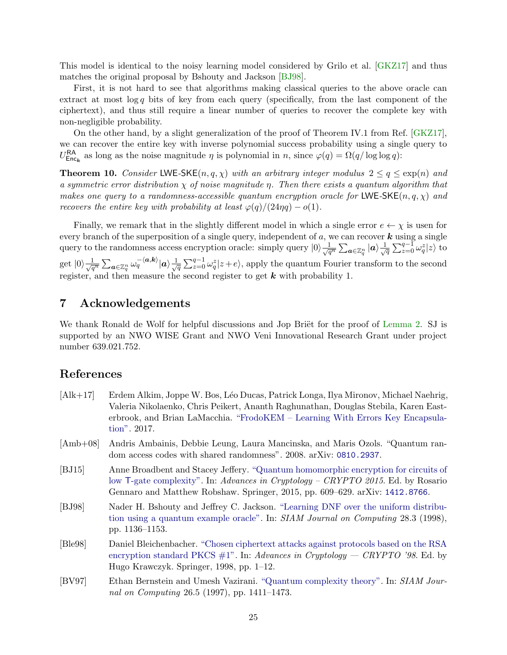This model is identical to the noisy learning model considered by Grilo et al. [\[GKZ17\]](#page-25-8) and thus matches the original proposal by Bshouty and Jackson [\[BJ98\]](#page-24-5).

First, it is not hard to see that algorithms making classical queries to the above oracle can extract at most  $\log q$  bits of key from each query (specifically, from the last component of the ciphertext), and thus still require a linear number of queries to recover the complete key with non-negligible probability.

On the other hand, by a slight generalization of the proof of Theorem IV.1 from Ref. [\[GKZ17\]](#page-25-8), we can recover the entire key with inverse polynomial success probability using a single query to  $U_{\text{Enc}_k}^{\text{RA}}$  as long as the noise magnitude  $\eta$  is polynomial in  $n$ , since  $\varphi(q) = \Omega(q/\log \log q)$ :

**Theorem 10.** Consider LWE-SKE $(n, q, \chi)$  with an arbitrary integer modulus  $2 \leq q \leq \exp(n)$  and a symmetric error distribution  $\chi$  of noise magnitude  $\eta$ . Then there exists a quantum algorithm that makes one query to a randomness-accessible quantum encryption oracle for LWE-SKE(n, q,  $\chi$ ) and recovers the entire key with probability at least  $\varphi(q)/(24\eta q) - o(1)$ .

Finally, we remark that in the slightly different model in which a single error  $e \leftarrow \chi$  is usen for every branch of the superposition of a single query, independent of  $a$ , we can recover  $\boldsymbol{k}$  using a single query to the randomness access encryption oracle: simply query  $|0\rangle \frac{1}{\sqrt{q^n}} \sum_{a \in \mathbb{Z}_q^n} |a\rangle \frac{1}{\sqrt{q^n}}$  $\frac{1}{\overline{q}}\sum_{z=0}^{q-1}\omega_q^z|z\rangle$  to  $\mathrm{get}\ |0\rangle\frac{1}{\sqrt{q^n}}\sum_{\bm{a}\in\mathbb{Z}_q^n}\omega_q^{-\langle\bm{a},\bm{k}\rangle}|\bm{a}\rangle\frac{1}{\sqrt{q^n}}$  $\frac{1}{\sqrt{q}}\sum_{z=0}^{q-1} \omega_q^z |z+e\rangle$ , apply the quantum Fourier transform to the second register, and then measure the second register to get  $k$  with probability 1.

# 7 Acknowledgements

We thank Ronald de Wolf for helpful discussions and Jop Briët for the proof of [Lemma](#page-26-9) [2.](#page-26-9) SJ is supported by an NWO WISE Grant and NWO Veni Innovational Research Grant under project number 639.021.752.

### References

- <span id="page-24-3"></span>[Alk+17] Erdem Alkim, Joppe W. Bos, L´eo Ducas, Patrick Longa, Ilya Mironov, Michael Naehrig, Valeria Nikolaenko, Chris Peikert, Ananth Raghunathan, Douglas Stebila, Karen Easterbrook, and Brian LaMacchia. ["FrodoKEM – Learning With Errors Key Encapsula](https://frodokem.org/files/FrodoKEM-specification-20171130.pdf)[tion".](https://frodokem.org/files/FrodoKEM-specification-20171130.pdf) 2017.
- <span id="page-24-4"></span>[Amb+08] Andris Ambainis, Debbie Leung, Laura Mancinska, and Maris Ozols. "Quantum random access codes with shared randomness". 2008. arXiv: [0810.2937](http://arxiv.org/abs/0810.2937).
- <span id="page-24-1"></span>[BJ15] Anne Broadbent and Stacey Jeffery. ["Quantum homomorphic encryption for circuits of](https://dx.doi.org/10.1007/978-3-662-48000-7_30) low T[-gate complexity".](https://dx.doi.org/10.1007/978-3-662-48000-7_30) In: Advances in Cryptology – CRYPTO 2015. Ed. by Rosario Gennaro and Matthew Robshaw. Springer, 2015, pp. 609–629. arXiv: [1412.8766](http://arxiv.org/abs/1412.8766).
- <span id="page-24-5"></span>[BJ98] Nader H. Bshouty and Jeffrey C. Jackson. ["Learning DNF over the uniform distribu](https://dx.doi.org/10.1137/S0097539795293123)[tion using a quantum example oracle".](https://dx.doi.org/10.1137/S0097539795293123) In: SIAM Journal on Computing 28.3 (1998), pp. 1136–1153.
- <span id="page-24-0"></span>[Ble98] Daniel Bleichenbacher. ["Chosen ciphertext attacks against protocols based on the RSA](https://dx.doi.org/https://doi.org/10.1007/BFb0055716) encryption standard PKCS  $\#1$ ". In: Advances in Cryptology — CRYPTO '98. Ed. by Hugo Krawczyk. Springer, 1998, pp. 1–12.
- <span id="page-24-2"></span>[BV97] Ethan Bernstein and Umesh Vazirani. ["Quantum complexity theory".](https://dx.doi.org/10.1137/S0097539796300921) In: SIAM Journal on Computing 26.5 (1997), pp. 1411–1473.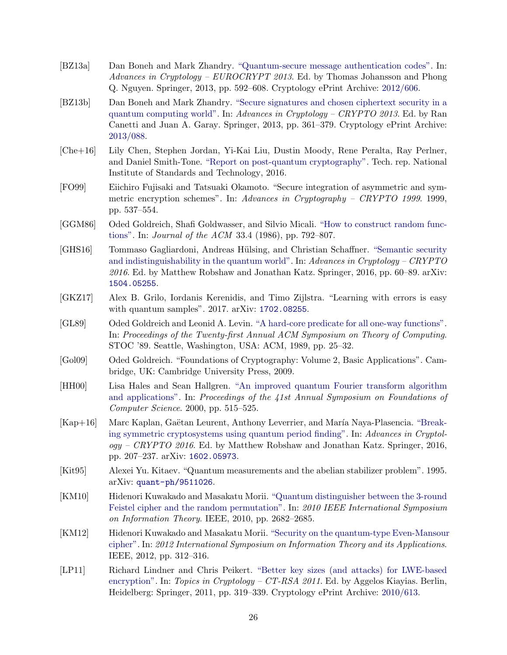- <span id="page-25-6"></span>[BZ13a] Dan Boneh and Mark Zhandry. ["Quantum-secure message authentication codes".](https://dx.doi.org/10.1007/978-3-642-38348-9_35) In: Advances in Cryptology – EUROCRYPT 2013. Ed. by Thomas Johansson and Phong Q. Nguyen. Springer, 2013, pp. 592–608. Cryptology ePrint Archive: [2012/606.](https://eprint.iacr.org/2012/606)
- <span id="page-25-5"></span>[BZ13b] Dan Boneh and Mark Zhandry. ["Secure signatures and chosen ciphertext security in a](https://dx.doi.org/10.1007/978-3-642-40084-1_21) [quantum computing world".](https://dx.doi.org/10.1007/978-3-642-40084-1_21) In: Advances in Cryptology – CRYPTO 2013. Ed. by Ran Canetti and Juan A. Garay. Springer, 2013, pp. 361–379. Cryptology ePrint Archive: [2013/088.](https://eprint.iacr.org/2013/088)
- <span id="page-25-0"></span>[Che+16] Lily Chen, Stephen Jordan, Yi-Kai Liu, Dustin Moody, Rene Peralta, Ray Perlner, and Daniel Smith-Tone. ["Report on post-quantum cryptography".](https://dx.doi.org/10.6028/NIST.IR.8105) Tech. rep. National Institute of Standards and Technology, 2016.
- <span id="page-25-9"></span>[FO99] Eiichiro Fujisaki and Tatsuaki Okamoto. "Secure integration of asymmetric and symmetric encryption schemes". In: Advances in Cryptography – CRYPTO 1999. 1999, pp. 537–554.
- <span id="page-25-11"></span>[GGM86] Oded Goldreich, Shafi Goldwasser, and Silvio Micali. ["How to construct random func](https://dx.doi.org/10.1145/6490.6503)[tions".](https://dx.doi.org/10.1145/6490.6503) In: Journal of the ACM 33.4 (1986), pp. 792–807.
- <span id="page-25-4"></span>[GHS16] Tommaso Gagliardoni, Andreas Hülsing, and Christian Schaffner. ["Semantic security](https://dx.doi.org/10.1007/978-3-662-53015-3_3) [and indistinguishability in the quantum world".](https://dx.doi.org/10.1007/978-3-662-53015-3_3) In: Advances in Cryptology – CRYPTO 2016. Ed. by Matthew Robshaw and Jonathan Katz. Springer, 2016, pp. 60–89. arXiv: [1504.05255](http://arxiv.org/abs/1504.05255).
- <span id="page-25-8"></span>[GKZ17] Alex B. Grilo, Iordanis Kerenidis, and Timo Zijlstra. "Learning with errors is easy with quantum samples". 2017. arXiv: [1702.08255](http://arxiv.org/abs/1702.08255).
- <span id="page-25-10"></span>[GL89] Oded Goldreich and Leonid A. Levin. ["A hard-core predicate for all one-way functions".](https://dx.doi.org/10.1145/73007.73010) In: Proceedings of the Twenty-first Annual ACM Symposium on Theory of Computing. STOC '89. Seattle, Washington, USA: ACM, 1989, pp. 25–32.
- <span id="page-25-14"></span>[Gol09] Oded Goldreich. "Foundations of Cryptography: Volume 2, Basic Applications". Cambridge, UK: Cambridge University Press, 2009.
- <span id="page-25-13"></span>[HH00] Lisa Hales and Sean Hallgren. ["An improved quantum Fourier transform algorithm](https://dx.doi.org/10.1109/SFCS.2000.892139) [and applications".](https://dx.doi.org/10.1109/SFCS.2000.892139) In: Proceedings of the 41st Annual Symposium on Foundations of Computer Science. 2000, pp. 515–525.
- <span id="page-25-3"></span>[Kap+16] Marc Kaplan, Gaëtan Leurent, Anthony Leverrier, and María Naya-Plasencia. ["Break](https://dx.doi.org/10.1007/978-3-662-53008-5_8)[ing symmetric cryptosystems using quantum period finding".](https://dx.doi.org/10.1007/978-3-662-53008-5_8) In: Advances in Cryptol $oqy - CRYPTO 2016$ . Ed. by Matthew Robshaw and Jonathan Katz. Springer, 2016, pp. 207–237. arXiv: [1602.05973](http://arxiv.org/abs/1602.05973).
- <span id="page-25-12"></span>[Kit95] Alexei Yu. Kitaev. "Quantum measurements and the abelian stabilizer problem". 1995. arXiv: [quant-ph/9511026](http://arxiv.org/abs/quant-ph/9511026).
- <span id="page-25-1"></span>[KM10] Hidenori Kuwakado and Masakatu Morii. ["Quantum distinguisher between the 3-round](https://dx.doi.org/10.1109/ISIT.2010.5513654) [Feistel cipher and the random permutation".](https://dx.doi.org/10.1109/ISIT.2010.5513654) In: 2010 IEEE International Symposium on Information Theory. IEEE, 2010, pp. 2682–2685.
- <span id="page-25-2"></span>[KM12] Hidenori Kuwakado and Masakatu Morii. ["Security on the quantum-type Even-Mansour](https://ieeexplore.ieee.org/document/6400943/) [cipher".](https://ieeexplore.ieee.org/document/6400943/) In: 2012 International Symposium on Information Theory and its Applications. IEEE, 2012, pp. 312–316.
- <span id="page-25-7"></span>[LP11] Richard Lindner and Chris Peikert. ["Better key sizes \(and attacks\) for LWE-based](https://dx.doi.org/10.1007/978-3-642-19074-2_21) [encryption".](https://dx.doi.org/10.1007/978-3-642-19074-2_21) In: Topics in Cryptology – CT-RSA 2011. Ed. by Aggelos Kiayias. Berlin, Heidelberg: Springer, 2011, pp. 319–339. Cryptology ePrint Archive: [2010/613.](https://eprint.iacr.org/2010/613)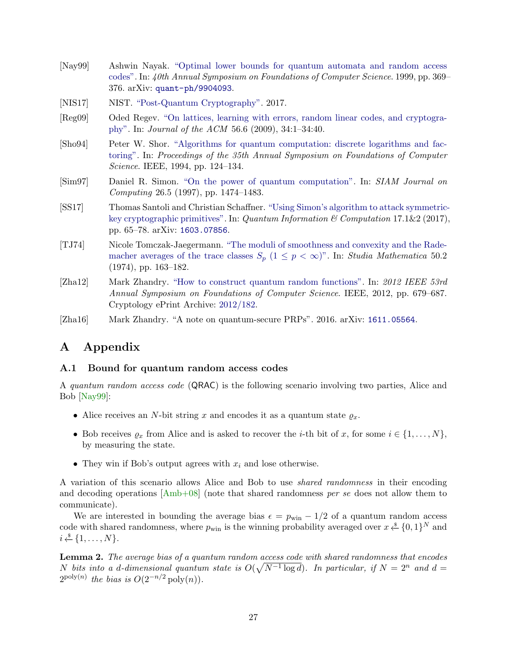- <span id="page-26-7"></span>[Nay99] Ashwin Nayak. ["Optimal lower bounds for quantum automata and random access](https://dx.doi.org/10.1109/SFFCS.1999.814608) [codes".](https://dx.doi.org/10.1109/SFFCS.1999.814608) In: 40th Annual Symposium on Foundations of Computer Science. 1999, pp. 369– 376. arXiv: [quant-ph/9904093](http://arxiv.org/abs/quant-ph/9904093).
- <span id="page-26-2"></span>[NIS17] NIST. ["Post-Quantum Cryptography".](https://csrc.nist.gov/projects/post-quantum-cryptography) 2017.
- <span id="page-26-1"></span>[Reg09] Oded Regev. ["On lattices, learning with errors, random linear codes, and cryptogra](https://dx.doi.org/10.1145/1568318.1568324)[phy".](https://dx.doi.org/10.1145/1568318.1568324) In: Journal of the ACM 56.6 (2009), 34:1–34:40.
- <span id="page-26-0"></span>[Sho94] Peter W. Shor. ["Algorithms for quantum computation: discrete logarithms and fac](https://dx.doi.org/10.1109/SFCS.1994.365700)[toring".](https://dx.doi.org/10.1109/SFCS.1994.365700) In: Proceedings of the 35th Annual Symposium on Foundations of Computer Science. IEEE, 1994, pp. 124–134.
- <span id="page-26-4"></span>[Sim97] Daniel R. Simon. ["On the power of quantum computation".](https://dx.doi.org/10.1137/S0097539796298637) In: SIAM Journal on Computing 26.5 (1997), pp. 1474–1483.
- <span id="page-26-3"></span>[SS17] Thomas Santoli and Christian Schaffner. ["Using Simon's algorithm to attack symmetric](https://dx.doi.org/10.26421/QIC17.1-2)[key cryptographic primitives".](https://dx.doi.org/10.26421/QIC17.1-2) In: Quantum Information & Computation 17.1&2 (2017), pp. 65–78. arXiv: [1603.07856](http://arxiv.org/abs/1603.07856).
- <span id="page-26-10"></span>[TJ74] Nicole Tomczak-Jaegermann. ["The moduli of smoothness and convexity and the Rade](http://eudml.org/doc/217886)[macher averages of the trace classes](http://eudml.org/doc/217886)  $S_p$  (1  $\leq$  p  $\lt \infty$ )". In: Studia Mathematica 50.2 (1974), pp. 163–182.
- <span id="page-26-5"></span>[Zha12] Mark Zhandry. ["How to construct quantum random functions".](https://dx.doi.org/10.1109/FOCS.2012.37) In: 2012 IEEE 53rd Annual Symposium on Foundations of Computer Science. IEEE, 2012, pp. 679–687. Cryptology ePrint Archive: [2012/182.](https://eprint.iacr.org/2012/182)
- <span id="page-26-6"></span>[Zha16] Mark Zhandry. "A note on quantum-secure PRPs". 2016. arXiv: [1611.05564](http://arxiv.org/abs/1611.05564).

# A Appendix

#### <span id="page-26-8"></span>A.1 Bound for quantum random access codes

A quantum random access code (QRAC) is the following scenario involving two parties, Alice and Bob [\[Nay99\]](#page-26-7):

- Alice receives an N-bit string x and encodes it as a quantum state  $\rho_x$ .
- Bob receives  $\varrho_x$  from Alice and is asked to recover the *i*-th bit of x, for some  $i \in \{1, \ldots, N\}$ , by measuring the state.
- They win if Bob's output agrees with  $x_i$  and lose otherwise.

A variation of this scenario allows Alice and Bob to use shared randomness in their encoding and decoding operations [\[Amb+08\]](#page-24-4) (note that shared randomness per se does not allow them to communicate).

We are interested in bounding the average bias  $\epsilon = p_{\text{win}} - 1/2$  of a quantum random access code with shared randomness, where  $p_{\text{win}}$  is the winning probability averaged over  $x \overset{\hspace{0.1em}\mathsf{\scriptscriptstyle\$}}{\leftarrow} \{0,1\}^N$  and  $i \overset{\$}{\leftarrow} \{1, \ldots, N\}.$ 

<span id="page-26-9"></span>Lemma 2. The average bias of a quantum random access code with shared randomness that encodes N bits into a d-dimensional quantum state is  $O(\sqrt{N^{-1} \log d})$ . In particular, if  $N = 2^n$  and  $d =$  $2^{\text{poly}(n)}$  the bias is  $O(2^{-n/2} \text{poly}(n)).$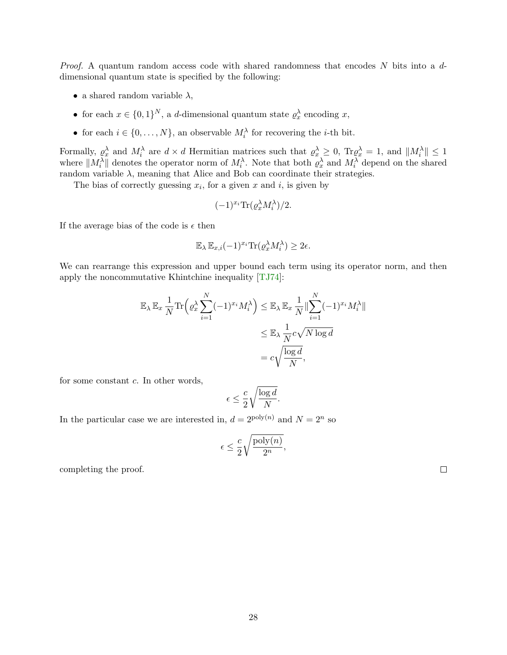*Proof.* A quantum random access code with shared randomness that encodes  $N$  bits into a  $d$ dimensional quantum state is specified by the following:

- a shared random variable  $\lambda$ ,
- for each  $x \in \{0,1\}^N$ , a *d*-dimensional quantum state  $\rho_x^{\lambda}$  encoding x,
- for each  $i \in \{0, ..., N\}$ , an observable  $M_i^{\lambda}$  for recovering the *i*-th bit.

Formally,  $\rho_x^{\lambda}$  and  $M_i^{\lambda}$  are  $d \times d$  Hermitian matrices such that  $\rho_x^{\lambda} \geq 0$ ,  $\text{Tr} \rho_x^{\lambda} = 1$ , and  $||M_i^{\lambda}|| \leq 1$ where  $||M_i^{\lambda}||$  denotes the operator norm of  $M_i^{\lambda}$ . Note that both  $\varrho_x^{\lambda}$  and  $M_i^{\lambda}$  depend on the shared random variable  $\lambda$ , meaning that Alice and Bob can coordinate their strategies.

The bias of correctly guessing  $x_i$ , for a given x and i, is given by

$$
(-1)^{x_i} \text{Tr}(\varrho_x^{\lambda} M_i^{\lambda})/2.
$$

If the average bias of the code is  $\epsilon$  then

$$
\mathbb{E}_{\lambda} \mathbb{E}_{x,i}(-1)^{x_i} \text{Tr}(\varrho_x^{\lambda} M_i^{\lambda}) \geq 2\epsilon.
$$

We can rearrange this expression and upper bound each term using its operator norm, and then apply the noncommutative Khintchine inequality [\[TJ74\]](#page-26-10):

$$
\mathbb{E}_{\lambda} \mathbb{E}_{x} \frac{1}{N} \text{Tr} \left( \varrho_{x}^{\lambda} \sum_{i=1}^{N} (-1)^{x_{i}} M_{i}^{\lambda} \right) \leq \mathbb{E}_{\lambda} \mathbb{E}_{x} \frac{1}{N} \|\sum_{i=1}^{N} (-1)^{x_{i}} M_{i}^{\lambda}\|
$$
  

$$
\leq \mathbb{E}_{\lambda} \frac{1}{N} c \sqrt{N \log d}
$$
  

$$
= c \sqrt{\frac{\log d}{N}},
$$

for some constant  $c$ . In other words,

$$
\epsilon \leq \frac{c}{2} \sqrt{\frac{\log d}{N}}.
$$

In the particular case we are interested in,  $d = 2^{\text{poly}(n)}$  and  $N = 2^n$  so

$$
\epsilon \le \frac{c}{2} \sqrt{\frac{\text{poly}(n)}{2^n}},
$$

completing the proof.

 $\Box$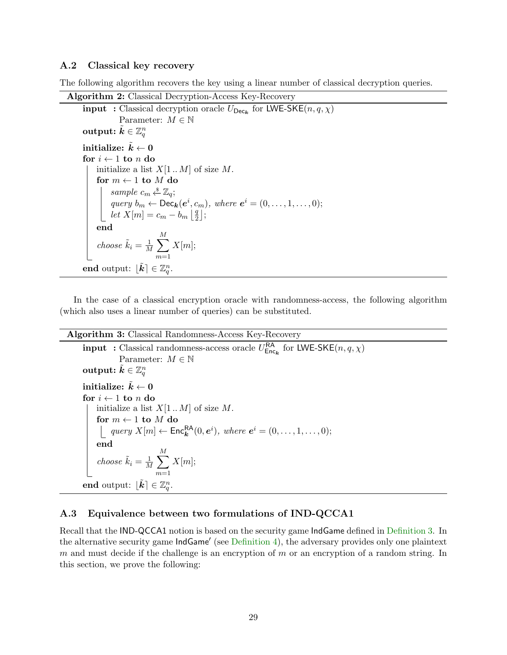### <span id="page-28-1"></span>A.2 Classical key recovery

The following algorithm recovers the key using a linear number of classical decryption queries.

```
Algorithm 2: Classical Decryption-Access Key-Recovery
       input : Classical decryption oracle U_{\text{Dec}_k} for LWE-SKE(n, q, \chi)Parameter: M \in \mathbb{N}output: \tilde{\boldsymbol{k}} \in \mathbb{Z}_q^ninitialize: \tilde{k} \leftarrow 0for i \leftarrow 1 to n do
             initialize a list X[1..M] of size M.
             for m \leftarrow 1 to M do
                    sample c_m \stackrel{\hspace{0.1em}\mathsf{\scriptscriptstyle\$}}{\leftarrow} \mathbb{Z}_q;
                    query b_m \leftarrow \text{Dec}_{\mathbf{k}}(e^i, c_m), where e^i = (0, \ldots, 1, \ldots, 0);
                    let X[m] = c_m - b_m \left| \frac{q}{2} \right|\frac{q}{2}];
             end
             choose \tilde{k}_i = \frac{1}{\lambda}\frac{1}{M} \sumM
                                        m=1X[m];\textbf{end} \text{ output: } [\tilde{\boldsymbol{k}}] \in \mathbb{Z}_q^n.
```
In the case of a classical encryption oracle with randomness-access, the following algorithm (which also uses a linear number of queries) can be substituted.

Algorithm 3: Classical Randomness-Access Key-Recovery

```
input : Classical randomness-access oracle U_{\text{Enc}_k}^{\text{RA}} for LWE-SKE(n, q, \chi)Parameter: M \in \mathbb{N}output: \tilde{\boldsymbol{k}} \in \mathbb{Z}_q^ninitialize: \tilde{k} \leftarrow 0for i \leftarrow 1 to n do
      initialize a list X[1..M] of size M.
      for m \leftarrow 1 to M do
             query X[m] \leftarrow \mathsf{Enc}_{\mathbf{k}}^{\mathsf{RA}}(0, \mathbf{e}^i), where \mathbf{e}^i = (0, \ldots, 1, \ldots, 0);end
      choose \tilde{k}_i = \frac{1}{M}\frac{1}{M}\sumM
                                 m=1X[m];\textbf{end} \text{ output: } [\tilde{\boldsymbol{k}}] \in \mathbb{Z}_q^n.
```
### <span id="page-28-0"></span>A.3 Equivalence between two formulations of IND-QCCA1

Recall that the IND-QCCA1 notion is based on the security game IndGame defined in [Definition](#page-8-1) [3.](#page-8-1) In the alternative security game IndGame' (see [Definition](#page-8-0) [4\)](#page-8-0), the adversary provides only one plaintext m and must decide if the challenge is an encryption of m or an encryption of a random string. In this section, we prove the following: